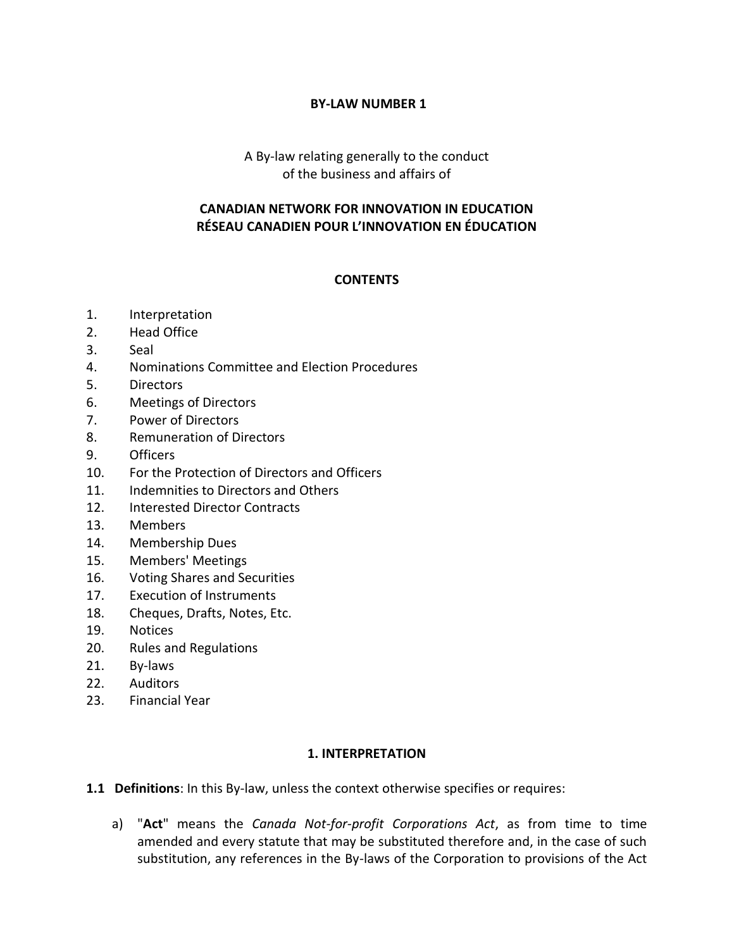### **BY-LAW NUMBER 1**

## A By-law relating generally to the conduct of the business and affairs of

### **CANADIAN NETWORK FOR INNOVATION IN EDUCATION RÉSEAU CANADIEN POUR L'INNOVATION EN ÉDUCATION**

### **CONTENTS**

- 1. Interpretation
- 2. Head Office
- 3. Seal
- 4. Nominations Committee and Election Procedures
- 5. Directors
- 6. Meetings of Directors
- 7. Power of Directors
- 8. Remuneration of Directors
- 9. Officers
- 10. For the Protection of Directors and Officers
- 11. Indemnities to Directors and Others
- 12. Interested Director Contracts
- 13. Members
- 14. Membership Dues
- 15. Members' Meetings
- 16. Voting Shares and Securities
- 17. Execution of Instruments
- 18. Cheques, Drafts, Notes, Etc.
- 19. Notices
- 20. Rules and Regulations
- 21. By-laws
- 22. Auditors
- 23. Financial Year

### **1. INTERPRETATION**

**1.1 Definitions**: In this By-law, unless the context otherwise specifies or requires:

a) "**Act**" means the *Canada Not-for-profit Corporations Act*, as from time to time amended and every statute that may be substituted therefore and, in the case of such substitution, any references in the By-laws of the Corporation to provisions of the Act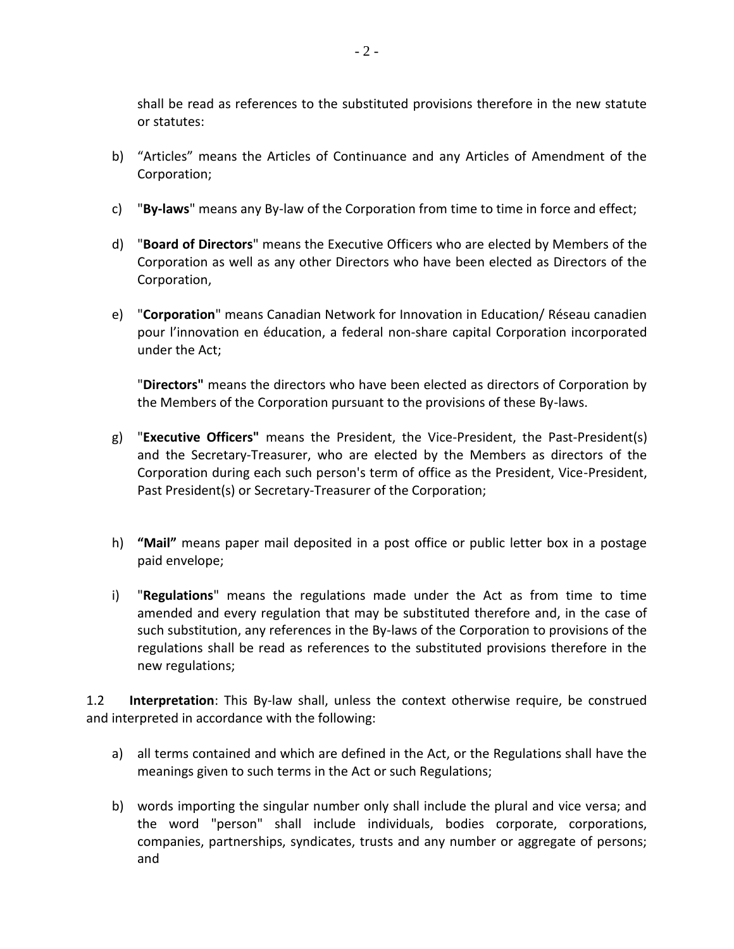shall be read as references to the substituted provisions therefore in the new statute or statutes:

- b) "Articles" means the Articles of Continuance and any Articles of Amendment of the Corporation;
- c) "**By-laws**" means any By-law of the Corporation from time to time in force and effect;
- d) "**Board of Directors**" means the Executive Officers who are elected by Members of the Corporation as well as any other Directors who have been elected as Directors of the Corporation,
- e) "**Corporation**" means Canadian Network for Innovation in Education/ Réseau canadien pour l'innovation en éducation, a federal non-share capital Corporation incorporated under the Act;

"**Directors"** means the directors who have been elected as directors of Corporation by the Members of the Corporation pursuant to the provisions of these By-laws.

- g) "**Executive Officers"** means the President, the Vice-President, the Past-President(s) and the Secretary-Treasurer, who are elected by the Members as directors of the Corporation during each such person's term of office as the President, Vice-President, Past President(s) or Secretary-Treasurer of the Corporation;
- h) **"Mail"** means paper mail deposited in a post office or public letter box in a postage paid envelope;
- i) "**Regulations**" means the regulations made under the Act as from time to time amended and every regulation that may be substituted therefore and, in the case of such substitution, any references in the By-laws of the Corporation to provisions of the regulations shall be read as references to the substituted provisions therefore in the new regulations;

1.2 **Interpretation**: This By-law shall, unless the context otherwise require, be construed and interpreted in accordance with the following:

- a) all terms contained and which are defined in the Act, or the Regulations shall have the meanings given to such terms in the Act or such Regulations;
- b) words importing the singular number only shall include the plural and vice versa; and the word "person" shall include individuals, bodies corporate, corporations, companies, partnerships, syndicates, trusts and any number or aggregate of persons; and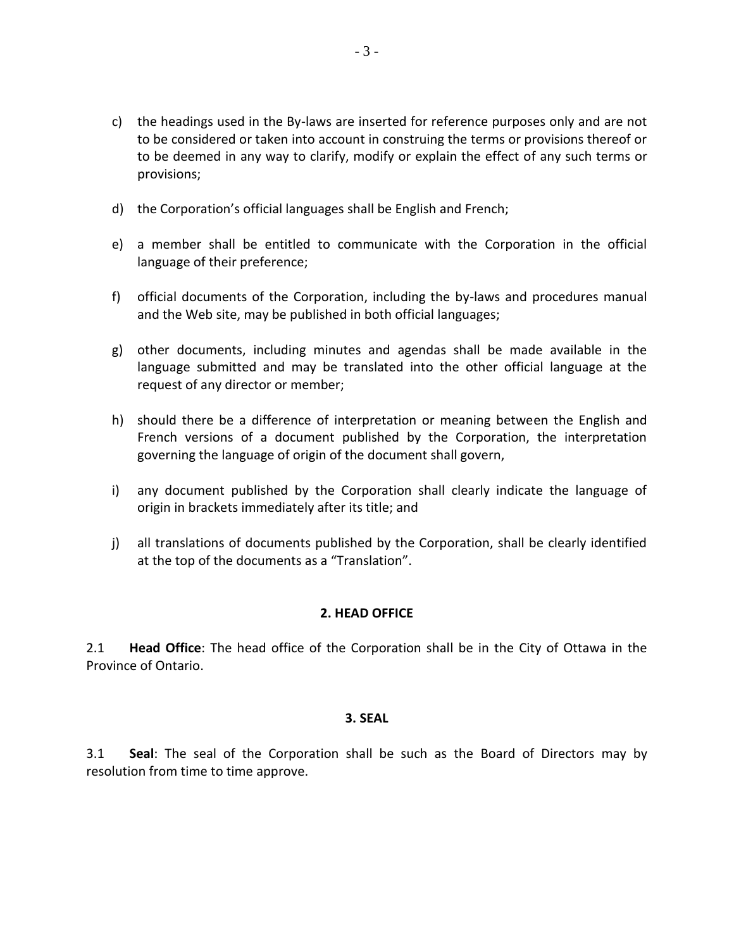- c) the headings used in the By-laws are inserted for reference purposes only and are not to be considered or taken into account in construing the terms or provisions thereof or to be deemed in any way to clarify, modify or explain the effect of any such terms or provisions;
- d) the Corporation's official languages shall be English and French;
- e) a member shall be entitled to communicate with the Corporation in the official language of their preference;
- f) official documents of the Corporation, including the by-laws and procedures manual and the Web site, may be published in both official languages;
- g) other documents, including minutes and agendas shall be made available in the language submitted and may be translated into the other official language at the request of any director or member;
- h) should there be a difference of interpretation or meaning between the English and French versions of a document published by the Corporation, the interpretation governing the language of origin of the document shall govern,
- i) any document published by the Corporation shall clearly indicate the language of origin in brackets immediately after its title; and
- j) all translations of documents published by the Corporation, shall be clearly identified at the top of the documents as a "Translation".

### **2. HEAD OFFICE**

2.1 **Head Office**: The head office of the Corporation shall be in the City of Ottawa in the Province of Ontario.

### **3. SEAL**

3.1 **Seal**: The seal of the Corporation shall be such as the Board of Directors may by resolution from time to time approve.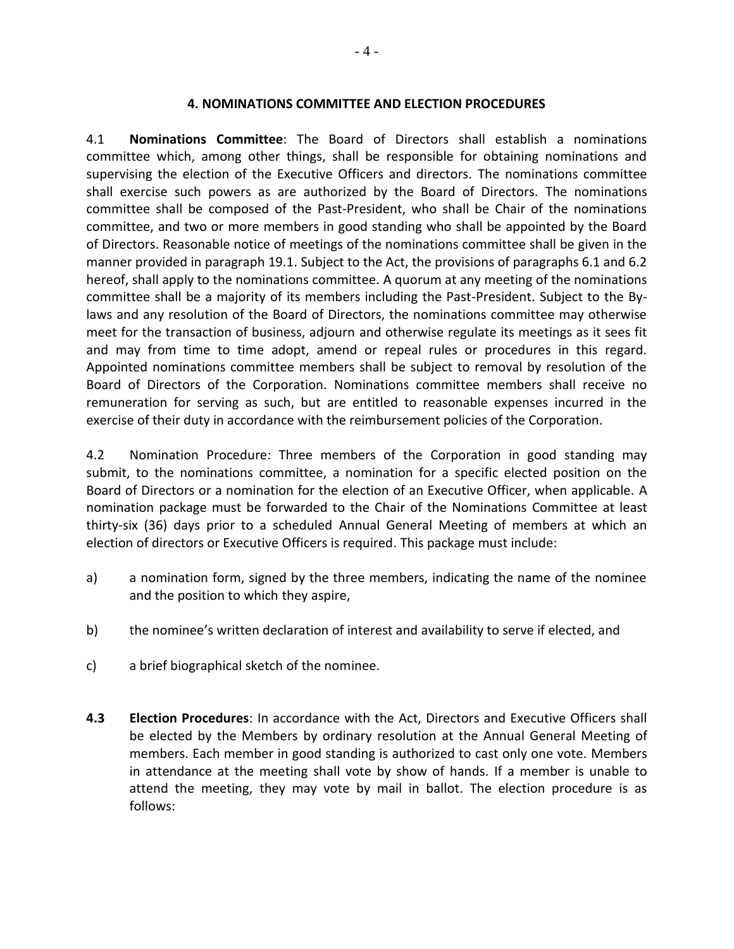#### **4. NOMINATIONS COMMITTEE AND ELECTION PROCEDURES**

4.1 **Nominations Committee**: The Board of Directors shall establish a nominations committee which, among other things, shall be responsible for obtaining nominations and supervising the election of the Executive Officers and directors. The nominations committee shall exercise such powers as are authorized by the Board of Directors. The nominations committee shall be composed of the Past-President, who shall be Chair of the nominations committee, and two or more members in good standing who shall be appointed by the Board of Directors. Reasonable notice of meetings of the nominations committee shall be given in the manner provided in paragraph 19.1. Subject to the Act, the provisions of paragraphs 6.1 and 6.2 hereof, shall apply to the nominations committee. A quorum at any meeting of the nominations committee shall be a majority of its members including the Past-President. Subject to the Bylaws and any resolution of the Board of Directors, the nominations committee may otherwise meet for the transaction of business, adjourn and otherwise regulate its meetings as it sees fit and may from time to time adopt, amend or repeal rules or procedures in this regard. Appointed nominations committee members shall be subject to removal by resolution of the Board of Directors of the Corporation. Nominations committee members shall receive no remuneration for serving as such, but are entitled to reasonable expenses incurred in the exercise of their duty in accordance with the reimbursement policies of the Corporation.

4.2 Nomination Procedure: Three members of the Corporation in good standing may submit, to the nominations committee, a nomination for a specific elected position on the Board of Directors or a nomination for the election of an Executive Officer, when applicable. A nomination package must be forwarded to the Chair of the Nominations Committee at least thirty-six (36) days prior to a scheduled Annual General Meeting of members at which an election of directors or Executive Officers is required. This package must include:

- a) a nomination form, signed by the three members, indicating the name of the nominee and the position to which they aspire,
- b) the nominee's written declaration of interest and availability to serve if elected, and
- c) a brief biographical sketch of the nominee.
- **4.3 Election Procedures**: In accordance with the Act, Directors and Executive Officers shall be elected by the Members by ordinary resolution at the Annual General Meeting of members. Each member in good standing is authorized to cast only one vote. Members in attendance at the meeting shall vote by show of hands. If a member is unable to attend the meeting, they may vote by mail in ballot. The election procedure is as follows: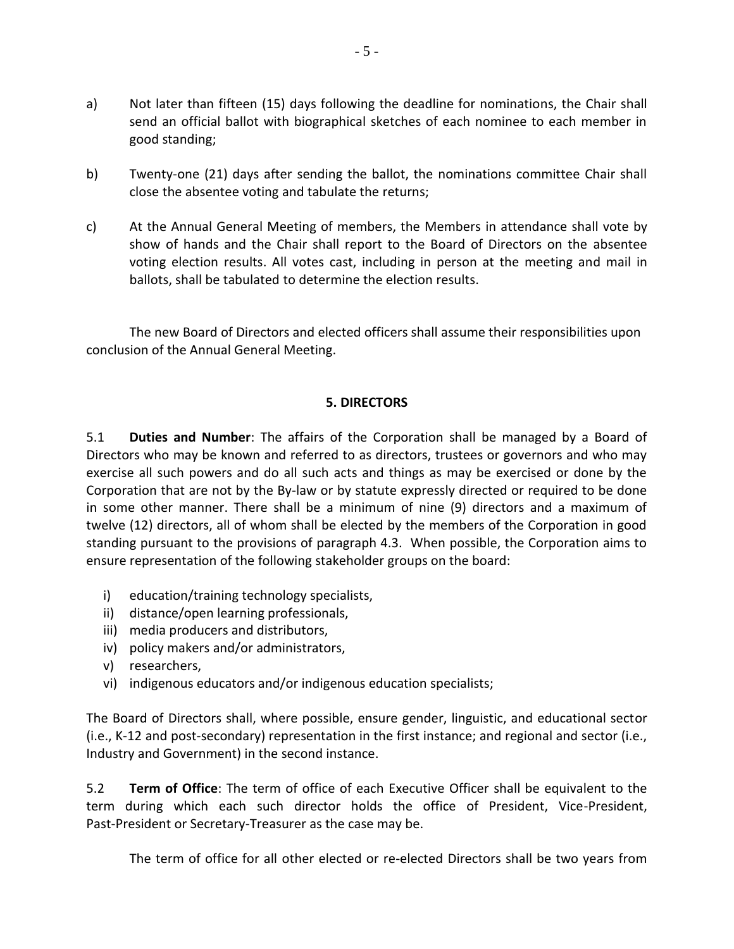- a) Not later than fifteen (15) days following the deadline for nominations, the Chair shall send an official ballot with biographical sketches of each nominee to each member in good standing;
- b) Twenty-one (21) days after sending the ballot, the nominations committee Chair shall close the absentee voting and tabulate the returns;
- c) At the Annual General Meeting of members, the Members in attendance shall vote by show of hands and the Chair shall report to the Board of Directors on the absentee voting election results. All votes cast, including in person at the meeting and mail in ballots, shall be tabulated to determine the election results.

The new Board of Directors and elected officers shall assume their responsibilities upon conclusion of the Annual General Meeting.

### **5. DIRECTORS**

5.1 **Duties and Number**: The affairs of the Corporation shall be managed by a Board of Directors who may be known and referred to as directors, trustees or governors and who may exercise all such powers and do all such acts and things as may be exercised or done by the Corporation that are not by the By-law or by statute expressly directed or required to be done in some other manner. There shall be a minimum of nine (9) directors and a maximum of twelve (12) directors, all of whom shall be elected by the members of the Corporation in good standing pursuant to the provisions of paragraph 4.3. When possible, the Corporation aims to ensure representation of the following stakeholder groups on the board:

- i) education/training technology specialists,
- ii) distance/open learning professionals,
- iii) media producers and distributors,
- iv) policy makers and/or administrators,
- v) researchers,
- vi) indigenous educators and/or indigenous education specialists;

The Board of Directors shall, where possible, ensure gender, linguistic, and educational sector (i.e., K-12 and post-secondary) representation in the first instance; and regional and sector (i.e., Industry and Government) in the second instance.

5.2 **Term of Office**: The term of office of each Executive Officer shall be equivalent to the term during which each such director holds the office of President, Vice-President, Past-President or Secretary-Treasurer as the case may be.

The term of office for all other elected or re-elected Directors shall be two years from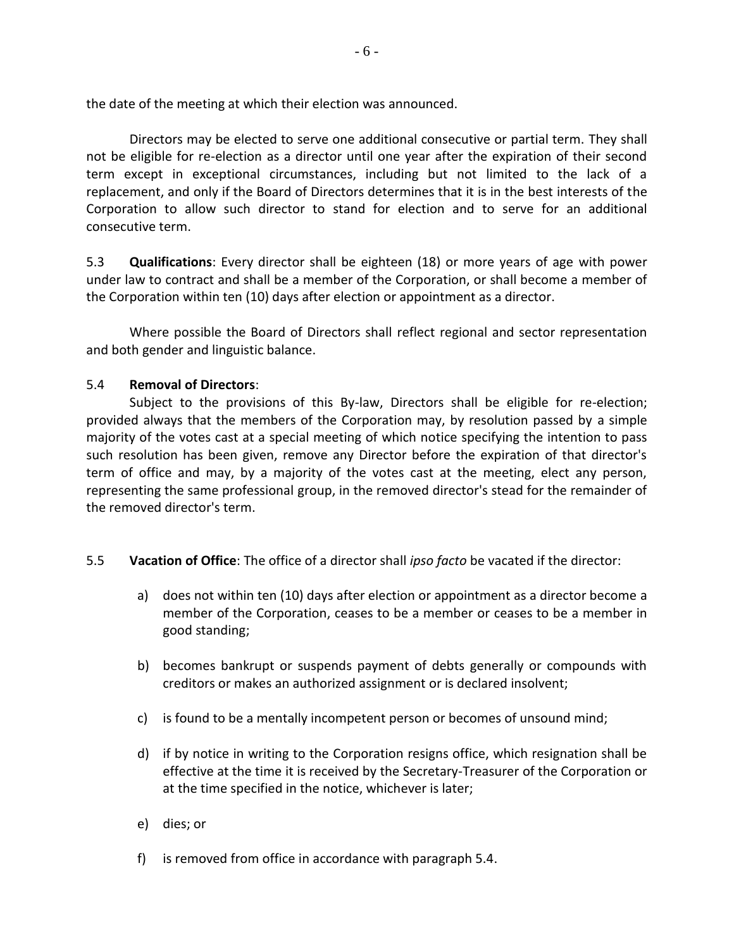the date of the meeting at which their election was announced.

Directors may be elected to serve one additional consecutive or partial term. They shall not be eligible for re-election as a director until one year after the expiration of their second term except in exceptional circumstances, including but not limited to the lack of a replacement, and only if the Board of Directors determines that it is in the best interests of the Corporation to allow such director to stand for election and to serve for an additional consecutive term.

5.3 **Qualifications**: Every director shall be eighteen (18) or more years of age with power under law to contract and shall be a member of the Corporation, or shall become a member of the Corporation within ten (10) days after election or appointment as a director.

Where possible the Board of Directors shall reflect regional and sector representation and both gender and linguistic balance.

### 5.4 **Removal of Directors**:

Subject to the provisions of this By-law, Directors shall be eligible for re-election; provided always that the members of the Corporation may, by resolution passed by a simple majority of the votes cast at a special meeting of which notice specifying the intention to pass such resolution has been given, remove any Director before the expiration of that director's term of office and may, by a majority of the votes cast at the meeting, elect any person, representing the same professional group, in the removed director's stead for the remainder of the removed director's term.

- 5.5 **Vacation of Office**: The office of a director shall *ipso facto* be vacated if the director:
	- a) does not within ten (10) days after election or appointment as a director become a member of the Corporation, ceases to be a member or ceases to be a member in good standing;
	- b) becomes bankrupt or suspends payment of debts generally or compounds with creditors or makes an authorized assignment or is declared insolvent;
	- c) is found to be a mentally incompetent person or becomes of unsound mind;
	- d) if by notice in writing to the Corporation resigns office, which resignation shall be effective at the time it is received by the Secretary-Treasurer of the Corporation or at the time specified in the notice, whichever is later;
	- e) dies; or
	- f) is removed from office in accordance with paragraph 5.4.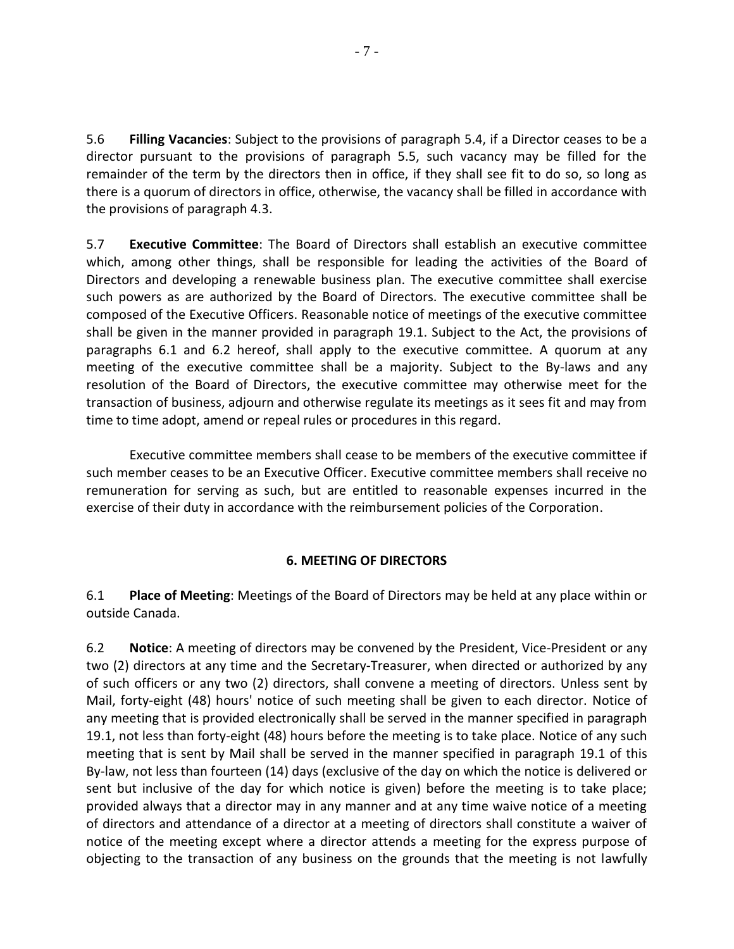5.6 **Filling Vacancies**: Subject to the provisions of paragraph 5.4, if a Director ceases to be a director pursuant to the provisions of paragraph 5.5, such vacancy may be filled for the remainder of the term by the directors then in office, if they shall see fit to do so, so long as there is a quorum of directors in office, otherwise, the vacancy shall be filled in accordance with the provisions of paragraph 4.3.

5.7 **Executive Committee**: The Board of Directors shall establish an executive committee which, among other things, shall be responsible for leading the activities of the Board of Directors and developing a renewable business plan. The executive committee shall exercise such powers as are authorized by the Board of Directors. The executive committee shall be composed of the Executive Officers. Reasonable notice of meetings of the executive committee shall be given in the manner provided in paragraph 19.1. Subject to the Act, the provisions of paragraphs 6.1 and 6.2 hereof, shall apply to the executive committee. A quorum at any meeting of the executive committee shall be a majority. Subject to the By-laws and any resolution of the Board of Directors, the executive committee may otherwise meet for the transaction of business, adjourn and otherwise regulate its meetings as it sees fit and may from time to time adopt, amend or repeal rules or procedures in this regard.

Executive committee members shall cease to be members of the executive committee if such member ceases to be an Executive Officer. Executive committee members shall receive no remuneration for serving as such, but are entitled to reasonable expenses incurred in the exercise of their duty in accordance with the reimbursement policies of the Corporation.

## **6. MEETING OF DIRECTORS**

6.1 **Place of Meeting**: Meetings of the Board of Directors may be held at any place within or outside Canada.

6.2 **Notice**: A meeting of directors may be convened by the President, Vice-President or any two (2) directors at any time and the Secretary-Treasurer, when directed or authorized by any of such officers or any two (2) directors, shall convene a meeting of directors. Unless sent by Mail, forty-eight (48) hours' notice of such meeting shall be given to each director. Notice of any meeting that is provided electronically shall be served in the manner specified in paragraph 19.1, not less than forty-eight (48) hours before the meeting is to take place. Notice of any such meeting that is sent by Mail shall be served in the manner specified in paragraph 19.1 of this By-law, not less than fourteen (14) days (exclusive of the day on which the notice is delivered or sent but inclusive of the day for which notice is given) before the meeting is to take place; provided always that a director may in any manner and at any time waive notice of a meeting of directors and attendance of a director at a meeting of directors shall constitute a waiver of notice of the meeting except where a director attends a meeting for the express purpose of objecting to the transaction of any business on the grounds that the meeting is not lawfully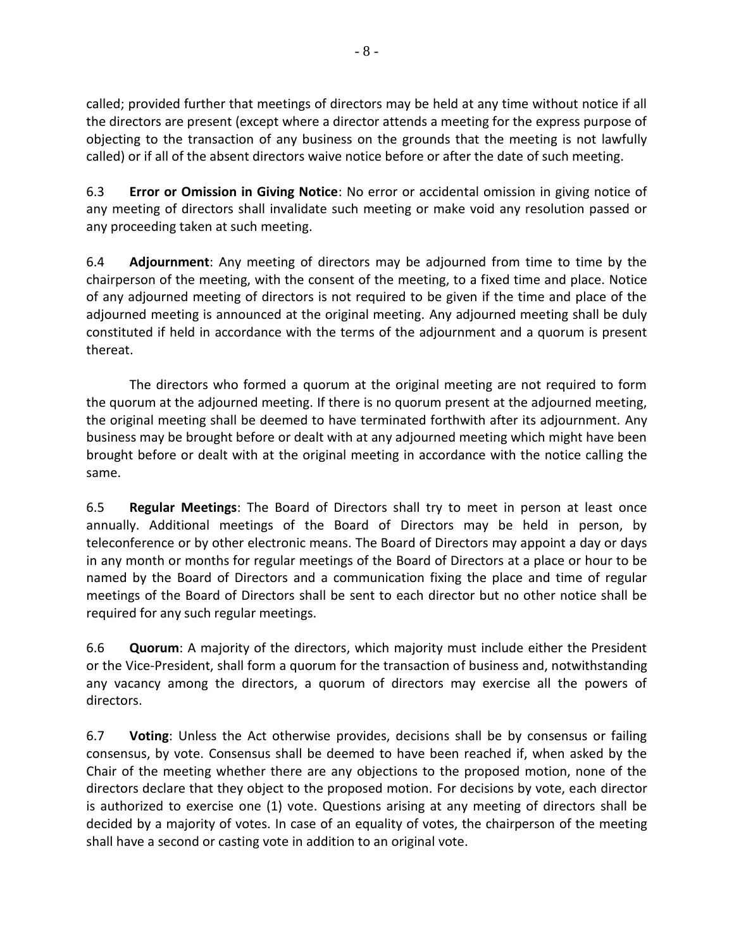called; provided further that meetings of directors may be held at any time without notice if all the directors are present (except where a director attends a meeting for the express purpose of objecting to the transaction of any business on the grounds that the meeting is not lawfully called) or if all of the absent directors waive notice before or after the date of such meeting.

6.3 **Error or Omission in Giving Notice**: No error or accidental omission in giving notice of any meeting of directors shall invalidate such meeting or make void any resolution passed or any proceeding taken at such meeting.

6.4 **Adjournment**: Any meeting of directors may be adjourned from time to time by the chairperson of the meeting, with the consent of the meeting, to a fixed time and place. Notice of any adjourned meeting of directors is not required to be given if the time and place of the adjourned meeting is announced at the original meeting. Any adjourned meeting shall be duly constituted if held in accordance with the terms of the adjournment and a quorum is present thereat.

The directors who formed a quorum at the original meeting are not required to form the quorum at the adjourned meeting. If there is no quorum present at the adjourned meeting, the original meeting shall be deemed to have terminated forthwith after its adjournment. Any business may be brought before or dealt with at any adjourned meeting which might have been brought before or dealt with at the original meeting in accordance with the notice calling the same.

6.5 **Regular Meetings**: The Board of Directors shall try to meet in person at least once annually. Additional meetings of the Board of Directors may be held in person, by teleconference or by other electronic means. The Board of Directors may appoint a day or days in any month or months for regular meetings of the Board of Directors at a place or hour to be named by the Board of Directors and a communication fixing the place and time of regular meetings of the Board of Directors shall be sent to each director but no other notice shall be required for any such regular meetings.

6.6 **Quorum**: A majority of the directors, which majority must include either the President or the Vice-President, shall form a quorum for the transaction of business and, notwithstanding any vacancy among the directors, a quorum of directors may exercise all the powers of directors.

6.7 **Voting**: Unless the Act otherwise provides, decisions shall be by consensus or failing consensus, by vote. Consensus shall be deemed to have been reached if, when asked by the Chair of the meeting whether there are any objections to the proposed motion, none of the directors declare that they object to the proposed motion. For decisions by vote, each director is authorized to exercise one (1) vote. Questions arising at any meeting of directors shall be decided by a majority of votes. In case of an equality of votes, the chairperson of the meeting shall have a second or casting vote in addition to an original vote.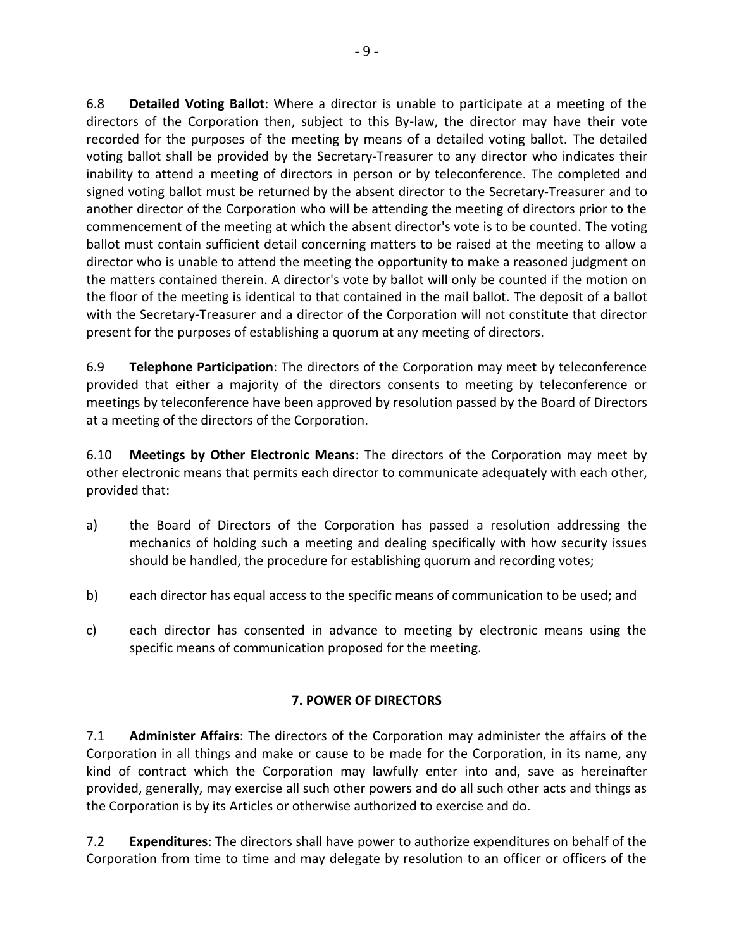6.8 **Detailed Voting Ballot**: Where a director is unable to participate at a meeting of the directors of the Corporation then, subject to this By-law, the director may have their vote recorded for the purposes of the meeting by means of a detailed voting ballot. The detailed voting ballot shall be provided by the Secretary-Treasurer to any director who indicates their inability to attend a meeting of directors in person or by teleconference. The completed and signed voting ballot must be returned by the absent director to the Secretary-Treasurer and to another director of the Corporation who will be attending the meeting of directors prior to the commencement of the meeting at which the absent director's vote is to be counted. The voting ballot must contain sufficient detail concerning matters to be raised at the meeting to allow a director who is unable to attend the meeting the opportunity to make a reasoned judgment on the matters contained therein. A director's vote by ballot will only be counted if the motion on the floor of the meeting is identical to that contained in the mail ballot. The deposit of a ballot with the Secretary-Treasurer and a director of the Corporation will not constitute that director present for the purposes of establishing a quorum at any meeting of directors.

6.9 **Telephone Participation**: The directors of the Corporation may meet by teleconference provided that either a majority of the directors consents to meeting by teleconference or meetings by teleconference have been approved by resolution passed by the Board of Directors at a meeting of the directors of the Corporation.

6.10 **Meetings by Other Electronic Means**: The directors of the Corporation may meet by other electronic means that permits each director to communicate adequately with each other, provided that:

- a) the Board of Directors of the Corporation has passed a resolution addressing the mechanics of holding such a meeting and dealing specifically with how security issues should be handled, the procedure for establishing quorum and recording votes;
- b) each director has equal access to the specific means of communication to be used; and
- c) each director has consented in advance to meeting by electronic means using the specific means of communication proposed for the meeting.

# **7. POWER OF DIRECTORS**

7.1 **Administer Affairs**: The directors of the Corporation may administer the affairs of the Corporation in all things and make or cause to be made for the Corporation, in its name, any kind of contract which the Corporation may lawfully enter into and, save as hereinafter provided, generally, may exercise all such other powers and do all such other acts and things as the Corporation is by its Articles or otherwise authorized to exercise and do.

7.2 **Expenditures**: The directors shall have power to authorize expenditures on behalf of the Corporation from time to time and may delegate by resolution to an officer or officers of the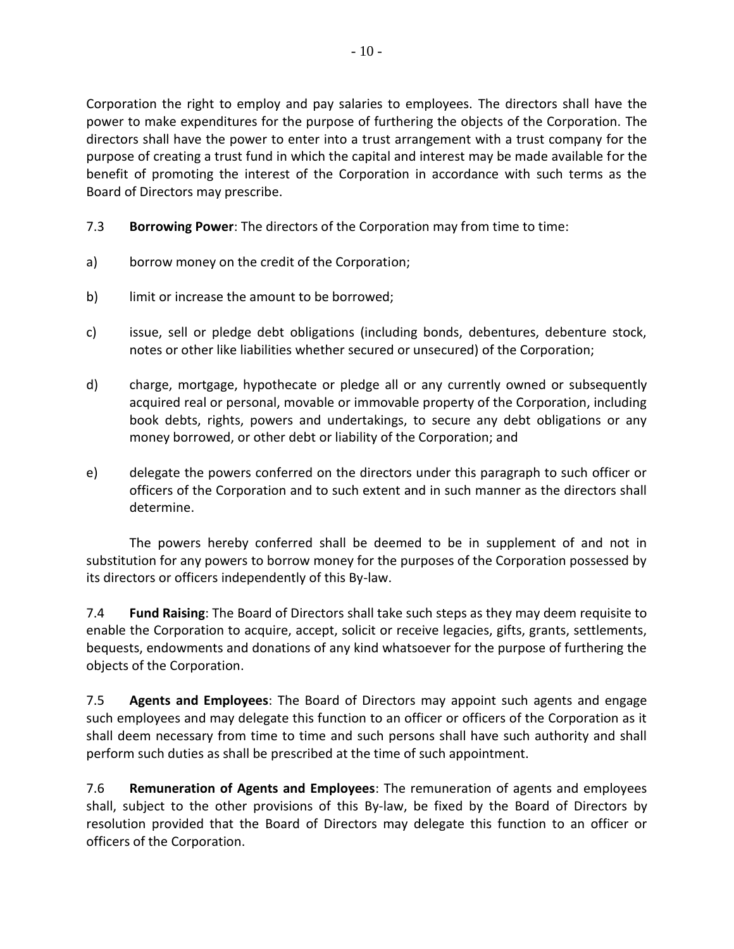Corporation the right to employ and pay salaries to employees. The directors shall have the power to make expenditures for the purpose of furthering the objects of the Corporation. The directors shall have the power to enter into a trust arrangement with a trust company for the purpose of creating a trust fund in which the capital and interest may be made available for the benefit of promoting the interest of the Corporation in accordance with such terms as the Board of Directors may prescribe.

- 7.3 **Borrowing Power**: The directors of the Corporation may from time to time:
- a) borrow money on the credit of the Corporation;
- b) limit or increase the amount to be borrowed;
- c) issue, sell or pledge debt obligations (including bonds, debentures, debenture stock, notes or other like liabilities whether secured or unsecured) of the Corporation;
- d) charge, mortgage, hypothecate or pledge all or any currently owned or subsequently acquired real or personal, movable or immovable property of the Corporation, including book debts, rights, powers and undertakings, to secure any debt obligations or any money borrowed, or other debt or liability of the Corporation; and
- e) delegate the powers conferred on the directors under this paragraph to such officer or officers of the Corporation and to such extent and in such manner as the directors shall determine.

The powers hereby conferred shall be deemed to be in supplement of and not in substitution for any powers to borrow money for the purposes of the Corporation possessed by its directors or officers independently of this By-law.

7.4 **Fund Raising**: The Board of Directors shall take such steps as they may deem requisite to enable the Corporation to acquire, accept, solicit or receive legacies, gifts, grants, settlements, bequests, endowments and donations of any kind whatsoever for the purpose of furthering the objects of the Corporation.

7.5 **Agents and Employees**: The Board of Directors may appoint such agents and engage such employees and may delegate this function to an officer or officers of the Corporation as it shall deem necessary from time to time and such persons shall have such authority and shall perform such duties as shall be prescribed at the time of such appointment.

7.6 **Remuneration of Agents and Employees**: The remuneration of agents and employees shall, subject to the other provisions of this By-law, be fixed by the Board of Directors by resolution provided that the Board of Directors may delegate this function to an officer or officers of the Corporation.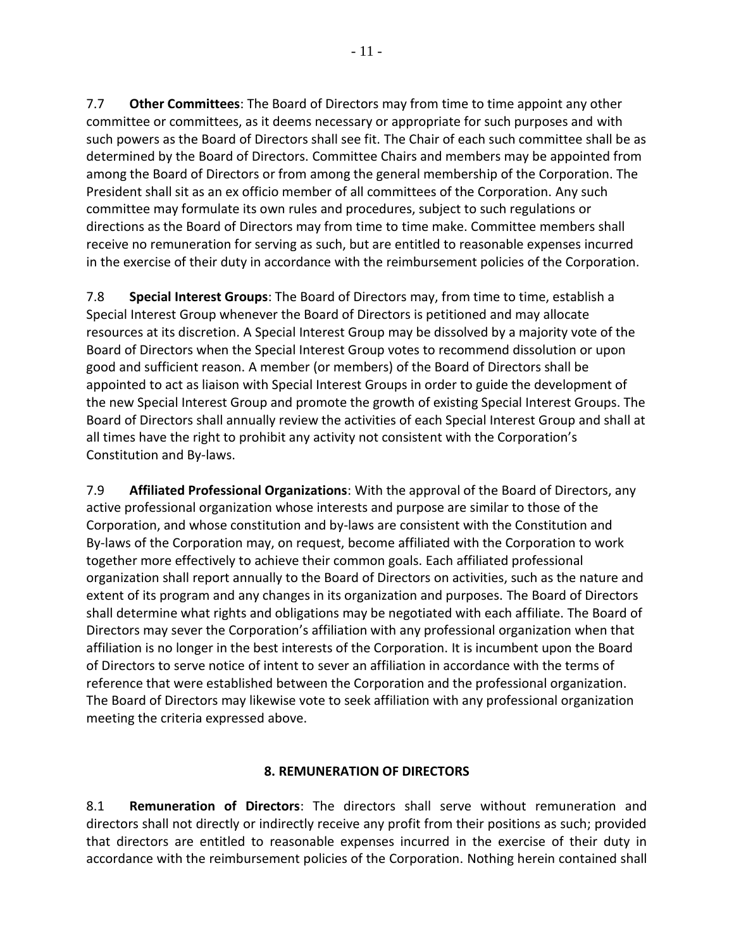7.7 **Other Committees**: The Board of Directors may from time to time appoint any other committee or committees, as it deems necessary or appropriate for such purposes and with such powers as the Board of Directors shall see fit. The Chair of each such committee shall be as determined by the Board of Directors. Committee Chairs and members may be appointed from among the Board of Directors or from among the general membership of the Corporation. The President shall sit as an ex officio member of all committees of the Corporation. Any such committee may formulate its own rules and procedures, subject to such regulations or directions as the Board of Directors may from time to time make. Committee members shall receive no remuneration for serving as such, but are entitled to reasonable expenses incurred in the exercise of their duty in accordance with the reimbursement policies of the Corporation.

7.8 **Special Interest Groups**: The Board of Directors may, from time to time, establish a Special Interest Group whenever the Board of Directors is petitioned and may allocate resources at its discretion. A Special Interest Group may be dissolved by a majority vote of the Board of Directors when the Special Interest Group votes to recommend dissolution or upon good and sufficient reason. A member (or members) of the Board of Directors shall be appointed to act as liaison with Special Interest Groups in order to guide the development of the new Special Interest Group and promote the growth of existing Special Interest Groups. The Board of Directors shall annually review the activities of each Special Interest Group and shall at all times have the right to prohibit any activity not consistent with the Corporation's Constitution and By-laws.

7.9 **Affiliated Professional Organizations**: With the approval of the Board of Directors, any active professional organization whose interests and purpose are similar to those of the Corporation, and whose constitution and by-laws are consistent with the Constitution and By-laws of the Corporation may, on request, become affiliated with the Corporation to work together more effectively to achieve their common goals. Each affiliated professional organization shall report annually to the Board of Directors on activities, such as the nature and extent of its program and any changes in its organization and purposes. The Board of Directors shall determine what rights and obligations may be negotiated with each affiliate. The Board of Directors may sever the Corporation's affiliation with any professional organization when that affiliation is no longer in the best interests of the Corporation. It is incumbent upon the Board of Directors to serve notice of intent to sever an affiliation in accordance with the terms of reference that were established between the Corporation and the professional organization. The Board of Directors may likewise vote to seek affiliation with any professional organization meeting the criteria expressed above.

## **8. REMUNERATION OF DIRECTORS**

8.1 **Remuneration of Directors**: The directors shall serve without remuneration and directors shall not directly or indirectly receive any profit from their positions as such; provided that directors are entitled to reasonable expenses incurred in the exercise of their duty in accordance with the reimbursement policies of the Corporation. Nothing herein contained shall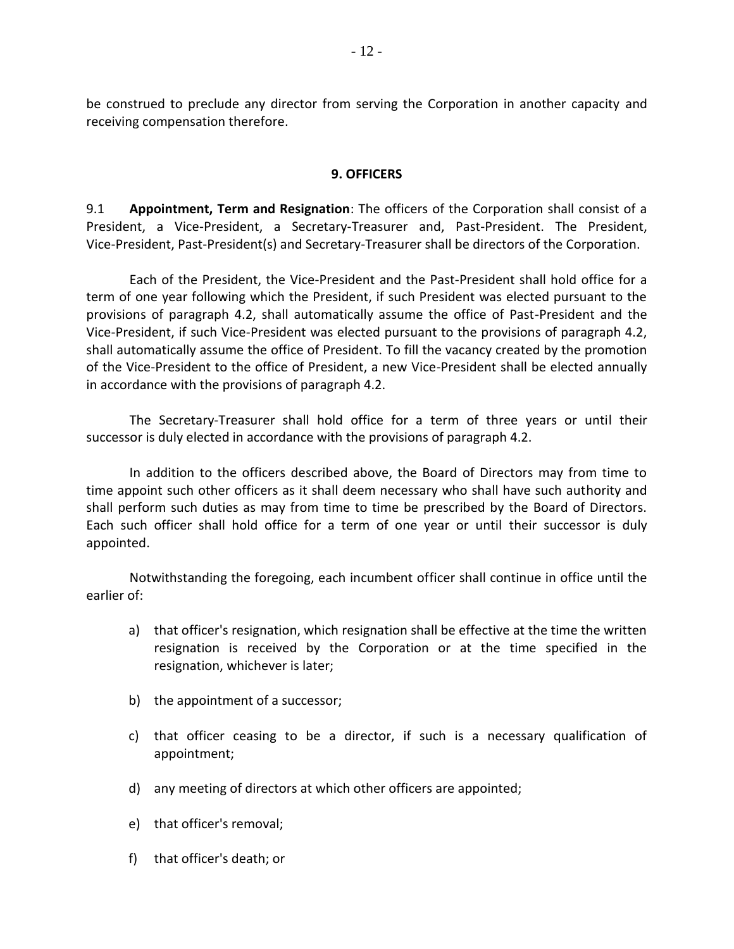be construed to preclude any director from serving the Corporation in another capacity and receiving compensation therefore.

#### **9. OFFICERS**

9.1 **Appointment, Term and Resignation**: The officers of the Corporation shall consist of a President, a Vice-President, a Secretary-Treasurer and, Past-President. The President, Vice-President, Past-President(s) and Secretary-Treasurer shall be directors of the Corporation.

Each of the President, the Vice-President and the Past-President shall hold office for a term of one year following which the President, if such President was elected pursuant to the provisions of paragraph 4.2, shall automatically assume the office of Past-President and the Vice-President, if such Vice-President was elected pursuant to the provisions of paragraph 4.2, shall automatically assume the office of President. To fill the vacancy created by the promotion of the Vice-President to the office of President, a new Vice-President shall be elected annually in accordance with the provisions of paragraph 4.2.

The Secretary-Treasurer shall hold office for a term of three years or until their successor is duly elected in accordance with the provisions of paragraph 4.2.

In addition to the officers described above, the Board of Directors may from time to time appoint such other officers as it shall deem necessary who shall have such authority and shall perform such duties as may from time to time be prescribed by the Board of Directors. Each such officer shall hold office for a term of one year or until their successor is duly appointed.

Notwithstanding the foregoing, each incumbent officer shall continue in office until the earlier of:

- a) that officer's resignation, which resignation shall be effective at the time the written resignation is received by the Corporation or at the time specified in the resignation, whichever is later;
- b) the appointment of a successor;
- c) that officer ceasing to be a director, if such is a necessary qualification of appointment;
- d) any meeting of directors at which other officers are appointed;
- e) that officer's removal;
- f) that officer's death; or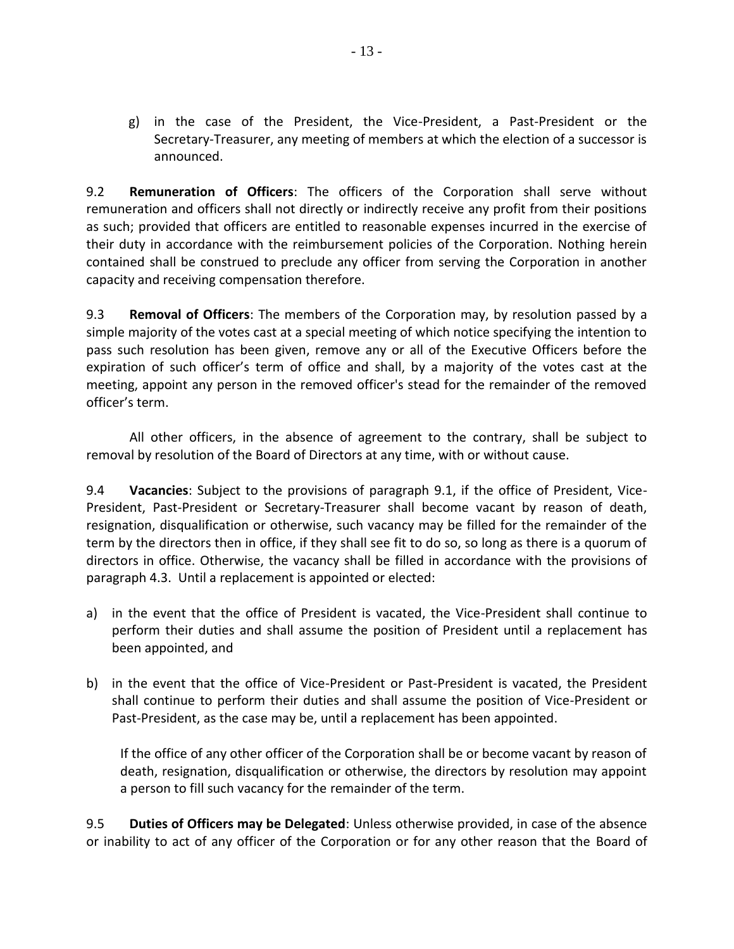g) in the case of the President, the Vice-President, a Past-President or the Secretary-Treasurer, any meeting of members at which the election of a successor is announced.

9.2 **Remuneration of Officers**: The officers of the Corporation shall serve without remuneration and officers shall not directly or indirectly receive any profit from their positions as such; provided that officers are entitled to reasonable expenses incurred in the exercise of their duty in accordance with the reimbursement policies of the Corporation. Nothing herein contained shall be construed to preclude any officer from serving the Corporation in another capacity and receiving compensation therefore.

9.3 **Removal of Officers**: The members of the Corporation may, by resolution passed by a simple majority of the votes cast at a special meeting of which notice specifying the intention to pass such resolution has been given, remove any or all of the Executive Officers before the expiration of such officer's term of office and shall, by a majority of the votes cast at the meeting, appoint any person in the removed officer's stead for the remainder of the removed officer's term.

All other officers, in the absence of agreement to the contrary, shall be subject to removal by resolution of the Board of Directors at any time, with or without cause.

9.4 **Vacancies**: Subject to the provisions of paragraph 9.1, if the office of President, Vice-President, Past-President or Secretary-Treasurer shall become vacant by reason of death, resignation, disqualification or otherwise, such vacancy may be filled for the remainder of the term by the directors then in office, if they shall see fit to do so, so long as there is a quorum of directors in office. Otherwise, the vacancy shall be filled in accordance with the provisions of paragraph 4.3. Until a replacement is appointed or elected:

- a) in the event that the office of President is vacated, the Vice-President shall continue to perform their duties and shall assume the position of President until a replacement has been appointed, and
- b) in the event that the office of Vice-President or Past-President is vacated, the President shall continue to perform their duties and shall assume the position of Vice-President or Past-President, as the case may be, until a replacement has been appointed.

If the office of any other officer of the Corporation shall be or become vacant by reason of death, resignation, disqualification or otherwise, the directors by resolution may appoint a person to fill such vacancy for the remainder of the term.

9.5 **Duties of Officers may be Delegated**: Unless otherwise provided, in case of the absence or inability to act of any officer of the Corporation or for any other reason that the Board of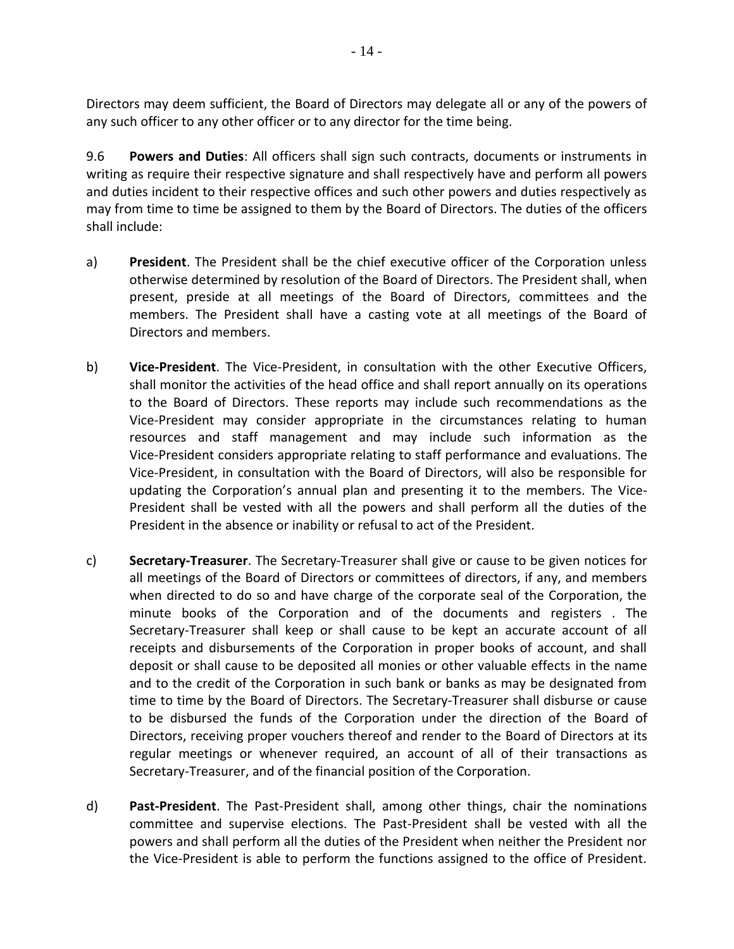Directors may deem sufficient, the Board of Directors may delegate all or any of the powers of any such officer to any other officer or to any director for the time being.

9.6 **Powers and Duties**: All officers shall sign such contracts, documents or instruments in writing as require their respective signature and shall respectively have and perform all powers and duties incident to their respective offices and such other powers and duties respectively as may from time to time be assigned to them by the Board of Directors. The duties of the officers shall include:

- a) **President**. The President shall be the chief executive officer of the Corporation unless otherwise determined by resolution of the Board of Directors. The President shall, when present, preside at all meetings of the Board of Directors, committees and the members. The President shall have a casting vote at all meetings of the Board of Directors and members.
- b) **Vice-President**. The Vice-President, in consultation with the other Executive Officers, shall monitor the activities of the head office and shall report annually on its operations to the Board of Directors. These reports may include such recommendations as the Vice-President may consider appropriate in the circumstances relating to human resources and staff management and may include such information as the Vice-President considers appropriate relating to staff performance and evaluations. The Vice-President, in consultation with the Board of Directors, will also be responsible for updating the Corporation's annual plan and presenting it to the members. The Vice-President shall be vested with all the powers and shall perform all the duties of the President in the absence or inability or refusal to act of the President.
- c) **Secretary-Treasurer**. The Secretary-Treasurer shall give or cause to be given notices for all meetings of the Board of Directors or committees of directors, if any, and members when directed to do so and have charge of the corporate seal of the Corporation, the minute books of the Corporation and of the documents and registers . The Secretary-Treasurer shall keep or shall cause to be kept an accurate account of all receipts and disbursements of the Corporation in proper books of account, and shall deposit or shall cause to be deposited all monies or other valuable effects in the name and to the credit of the Corporation in such bank or banks as may be designated from time to time by the Board of Directors. The Secretary-Treasurer shall disburse or cause to be disbursed the funds of the Corporation under the direction of the Board of Directors, receiving proper vouchers thereof and render to the Board of Directors at its regular meetings or whenever required, an account of all of their transactions as Secretary-Treasurer, and of the financial position of the Corporation.
- d) **Past-President**. The Past-President shall, among other things, chair the nominations committee and supervise elections. The Past-President shall be vested with all the powers and shall perform all the duties of the President when neither the President nor the Vice-President is able to perform the functions assigned to the office of President.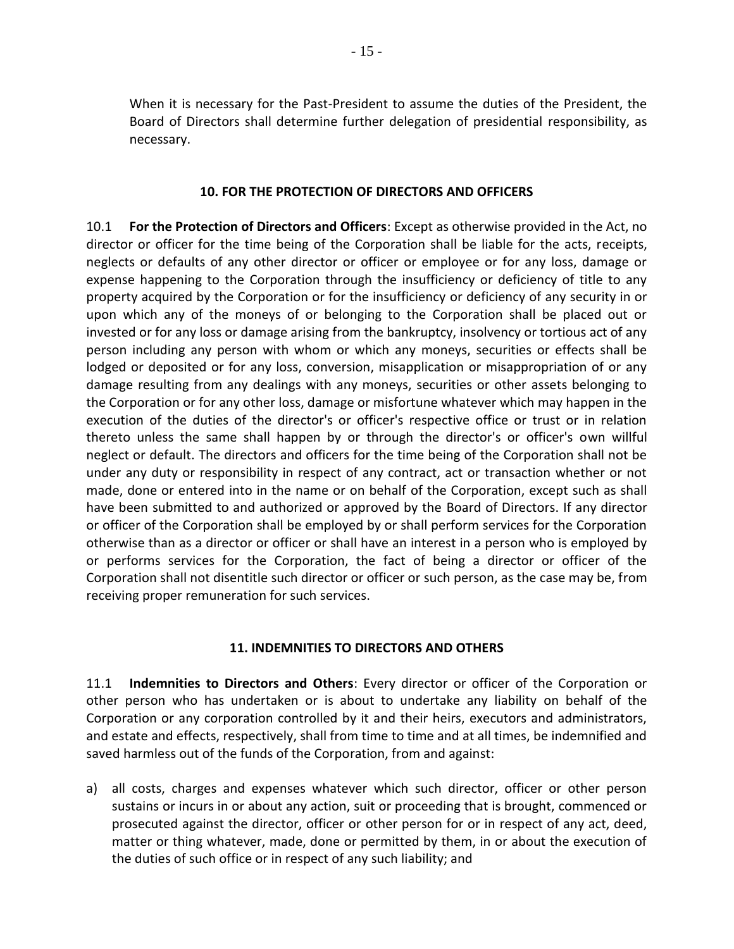When it is necessary for the Past-President to assume the duties of the President, the Board of Directors shall determine further delegation of presidential responsibility, as necessary.

### **10. FOR THE PROTECTION OF DIRECTORS AND OFFICERS**

10.1 **For the Protection of Directors and Officers**: Except as otherwise provided in the Act, no director or officer for the time being of the Corporation shall be liable for the acts, receipts, neglects or defaults of any other director or officer or employee or for any loss, damage or expense happening to the Corporation through the insufficiency or deficiency of title to any property acquired by the Corporation or for the insufficiency or deficiency of any security in or upon which any of the moneys of or belonging to the Corporation shall be placed out or invested or for any loss or damage arising from the bankruptcy, insolvency or tortious act of any person including any person with whom or which any moneys, securities or effects shall be lodged or deposited or for any loss, conversion, misapplication or misappropriation of or any damage resulting from any dealings with any moneys, securities or other assets belonging to the Corporation or for any other loss, damage or misfortune whatever which may happen in the execution of the duties of the director's or officer's respective office or trust or in relation thereto unless the same shall happen by or through the director's or officer's own willful neglect or default. The directors and officers for the time being of the Corporation shall not be under any duty or responsibility in respect of any contract, act or transaction whether or not made, done or entered into in the name or on behalf of the Corporation, except such as shall have been submitted to and authorized or approved by the Board of Directors. If any director or officer of the Corporation shall be employed by or shall perform services for the Corporation otherwise than as a director or officer or shall have an interest in a person who is employed by or performs services for the Corporation, the fact of being a director or officer of the Corporation shall not disentitle such director or officer or such person, as the case may be, from receiving proper remuneration for such services.

### **11. INDEMNITIES TO DIRECTORS AND OTHERS**

11.1 **Indemnities to Directors and Others**: Every director or officer of the Corporation or other person who has undertaken or is about to undertake any liability on behalf of the Corporation or any corporation controlled by it and their heirs, executors and administrators, and estate and effects, respectively, shall from time to time and at all times, be indemnified and saved harmless out of the funds of the Corporation, from and against:

a) all costs, charges and expenses whatever which such director, officer or other person sustains or incurs in or about any action, suit or proceeding that is brought, commenced or prosecuted against the director, officer or other person for or in respect of any act, deed, matter or thing whatever, made, done or permitted by them, in or about the execution of the duties of such office or in respect of any such liability; and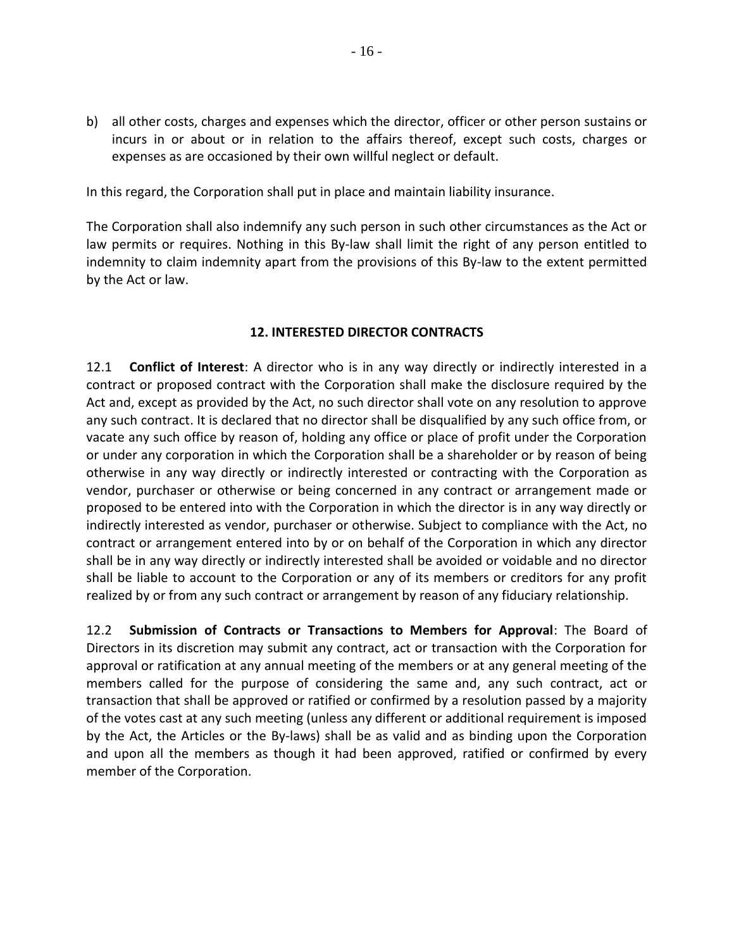b) all other costs, charges and expenses which the director, officer or other person sustains or incurs in or about or in relation to the affairs thereof, except such costs, charges or expenses as are occasioned by their own willful neglect or default.

In this regard, the Corporation shall put in place and maintain liability insurance.

The Corporation shall also indemnify any such person in such other circumstances as the Act or law permits or requires. Nothing in this By-law shall limit the right of any person entitled to indemnity to claim indemnity apart from the provisions of this By-law to the extent permitted by the Act or law.

## **12. INTERESTED DIRECTOR CONTRACTS**

12.1 **Conflict of Interest**: A director who is in any way directly or indirectly interested in a contract or proposed contract with the Corporation shall make the disclosure required by the Act and, except as provided by the Act, no such director shall vote on any resolution to approve any such contract. It is declared that no director shall be disqualified by any such office from, or vacate any such office by reason of, holding any office or place of profit under the Corporation or under any corporation in which the Corporation shall be a shareholder or by reason of being otherwise in any way directly or indirectly interested or contracting with the Corporation as vendor, purchaser or otherwise or being concerned in any contract or arrangement made or proposed to be entered into with the Corporation in which the director is in any way directly or indirectly interested as vendor, purchaser or otherwise. Subject to compliance with the Act, no contract or arrangement entered into by or on behalf of the Corporation in which any director shall be in any way directly or indirectly interested shall be avoided or voidable and no director shall be liable to account to the Corporation or any of its members or creditors for any profit realized by or from any such contract or arrangement by reason of any fiduciary relationship.

12.2 **Submission of Contracts or Transactions to Members for Approval**: The Board of Directors in its discretion may submit any contract, act or transaction with the Corporation for approval or ratification at any annual meeting of the members or at any general meeting of the members called for the purpose of considering the same and, any such contract, act or transaction that shall be approved or ratified or confirmed by a resolution passed by a majority of the votes cast at any such meeting (unless any different or additional requirement is imposed by the Act, the Articles or the By-laws) shall be as valid and as binding upon the Corporation and upon all the members as though it had been approved, ratified or confirmed by every member of the Corporation.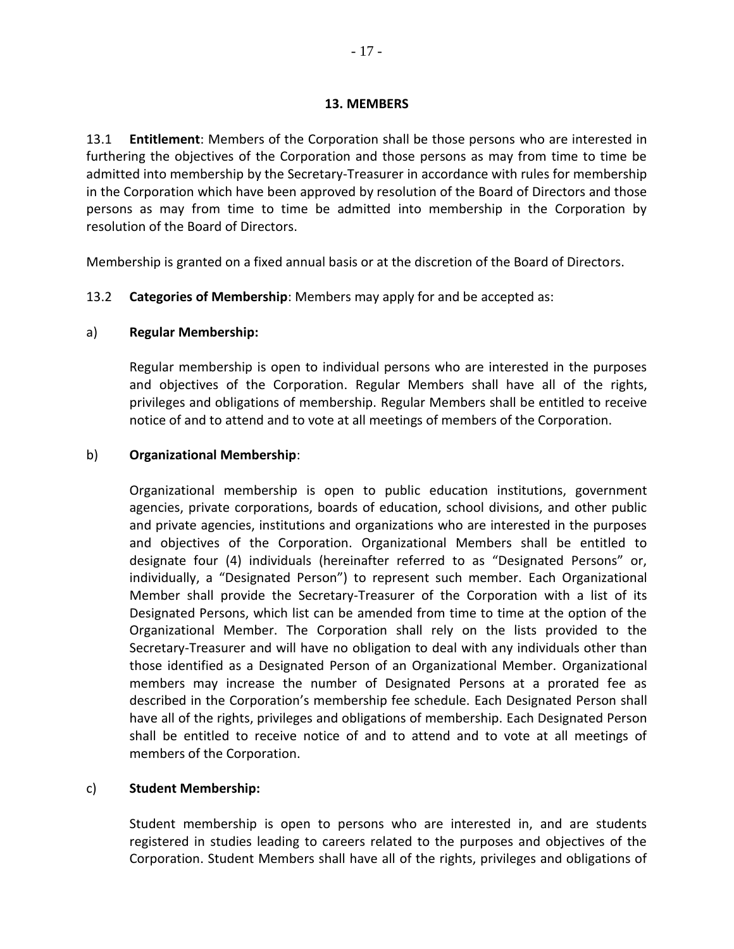13.1 **Entitlement**: Members of the Corporation shall be those persons who are interested in furthering the objectives of the Corporation and those persons as may from time to time be admitted into membership by the Secretary-Treasurer in accordance with rules for membership in the Corporation which have been approved by resolution of the Board of Directors and those persons as may from time to time be admitted into membership in the Corporation by resolution of the Board of Directors.

Membership is granted on a fixed annual basis or at the discretion of the Board of Directors.

### 13.2 **Categories of Membership**: Members may apply for and be accepted as:

### a) **Regular Membership:**

Regular membership is open to individual persons who are interested in the purposes and objectives of the Corporation. Regular Members shall have all of the rights, privileges and obligations of membership. Regular Members shall be entitled to receive notice of and to attend and to vote at all meetings of members of the Corporation.

### b) **Organizational Membership**:

Organizational membership is open to public education institutions, government agencies, private corporations, boards of education, school divisions, and other public and private agencies, institutions and organizations who are interested in the purposes and objectives of the Corporation. Organizational Members shall be entitled to designate four (4) individuals (hereinafter referred to as "Designated Persons" or, individually, a "Designated Person") to represent such member. Each Organizational Member shall provide the Secretary-Treasurer of the Corporation with a list of its Designated Persons, which list can be amended from time to time at the option of the Organizational Member. The Corporation shall rely on the lists provided to the Secretary-Treasurer and will have no obligation to deal with any individuals other than those identified as a Designated Person of an Organizational Member. Organizational members may increase the number of Designated Persons at a prorated fee as described in the Corporation's membership fee schedule. Each Designated Person shall have all of the rights, privileges and obligations of membership. Each Designated Person shall be entitled to receive notice of and to attend and to vote at all meetings of members of the Corporation.

## c) **Student Membership:**

Student membership is open to persons who are interested in, and are students registered in studies leading to careers related to the purposes and objectives of the Corporation. Student Members shall have all of the rights, privileges and obligations of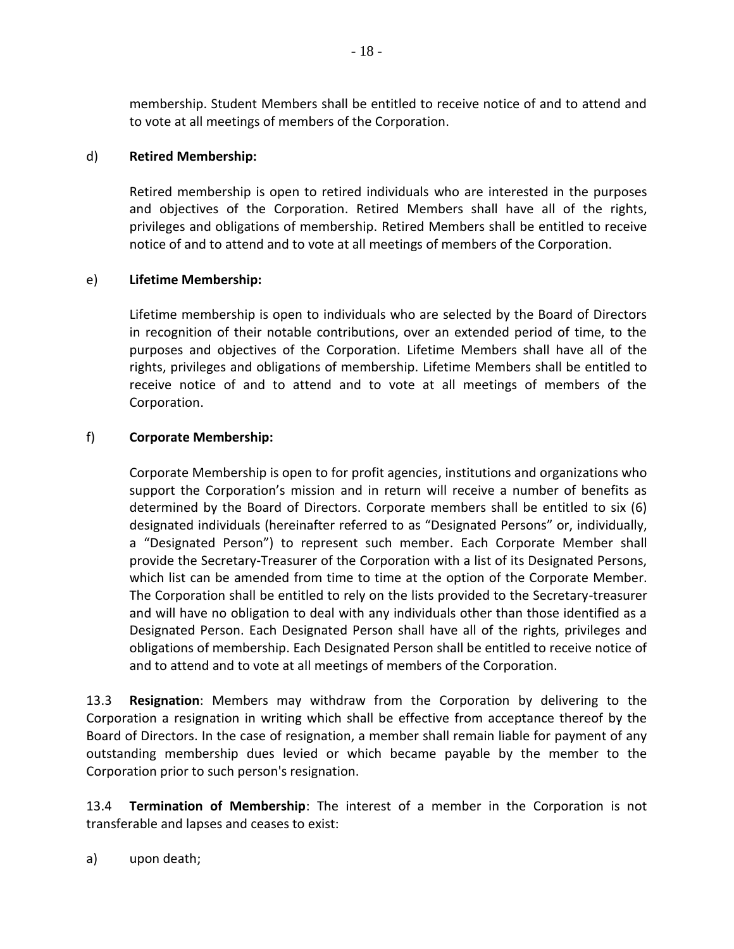membership. Student Members shall be entitled to receive notice of and to attend and to vote at all meetings of members of the Corporation.

### d) **Retired Membership:**

Retired membership is open to retired individuals who are interested in the purposes and objectives of the Corporation. Retired Members shall have all of the rights, privileges and obligations of membership. Retired Members shall be entitled to receive notice of and to attend and to vote at all meetings of members of the Corporation.

### e) **Lifetime Membership:**

Lifetime membership is open to individuals who are selected by the Board of Directors in recognition of their notable contributions, over an extended period of time, to the purposes and objectives of the Corporation. Lifetime Members shall have all of the rights, privileges and obligations of membership. Lifetime Members shall be entitled to receive notice of and to attend and to vote at all meetings of members of the Corporation.

### f) **Corporate Membership:**

Corporate Membership is open to for profit agencies, institutions and organizations who support the Corporation's mission and in return will receive a number of benefits as determined by the Board of Directors. Corporate members shall be entitled to six (6) designated individuals (hereinafter referred to as "Designated Persons" or, individually, a "Designated Person") to represent such member. Each Corporate Member shall provide the Secretary-Treasurer of the Corporation with a list of its Designated Persons, which list can be amended from time to time at the option of the Corporate Member. The Corporation shall be entitled to rely on the lists provided to the Secretary-treasurer and will have no obligation to deal with any individuals other than those identified as a Designated Person. Each Designated Person shall have all of the rights, privileges and obligations of membership. Each Designated Person shall be entitled to receive notice of and to attend and to vote at all meetings of members of the Corporation.

13.3 **Resignation**: Members may withdraw from the Corporation by delivering to the Corporation a resignation in writing which shall be effective from acceptance thereof by the Board of Directors. In the case of resignation, a member shall remain liable for payment of any outstanding membership dues levied or which became payable by the member to the Corporation prior to such person's resignation.

13.4 **Termination of Membership**: The interest of a member in the Corporation is not transferable and lapses and ceases to exist:

a) upon death;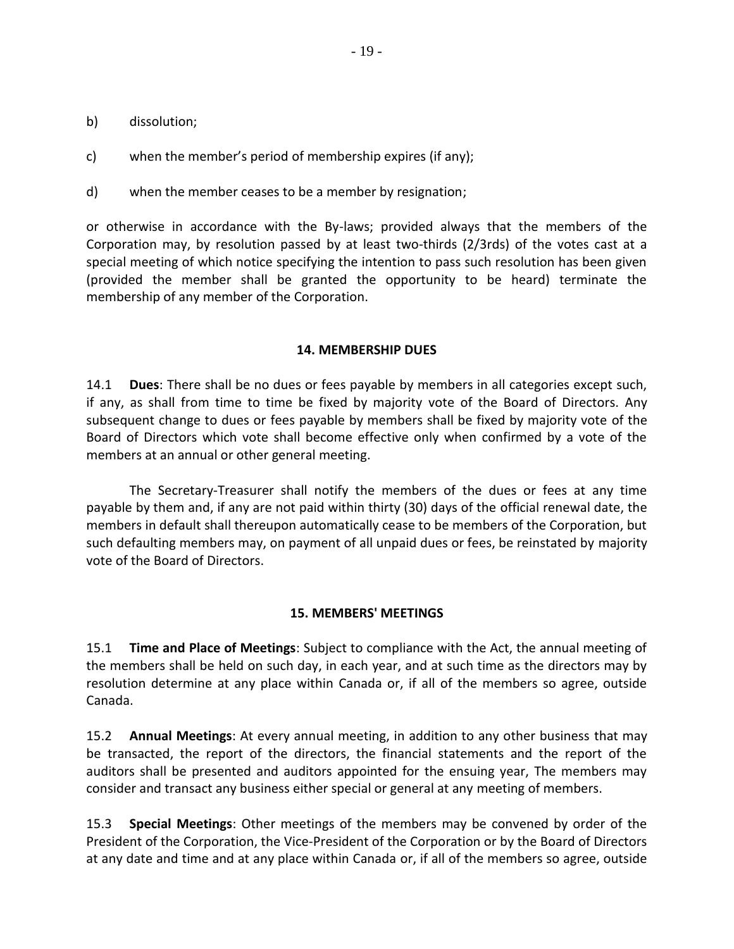- b) dissolution;
- c) when the member's period of membership expires (if any);
- d) when the member ceases to be a member by resignation;

or otherwise in accordance with the By-laws; provided always that the members of the Corporation may, by resolution passed by at least two-thirds (2/3rds) of the votes cast at a special meeting of which notice specifying the intention to pass such resolution has been given (provided the member shall be granted the opportunity to be heard) terminate the membership of any member of the Corporation.

#### **14. MEMBERSHIP DUES**

14.1 **Dues**: There shall be no dues or fees payable by members in all categories except such, if any, as shall from time to time be fixed by majority vote of the Board of Directors. Any subsequent change to dues or fees payable by members shall be fixed by majority vote of the Board of Directors which vote shall become effective only when confirmed by a vote of the members at an annual or other general meeting.

The Secretary-Treasurer shall notify the members of the dues or fees at any time payable by them and, if any are not paid within thirty (30) days of the official renewal date, the members in default shall thereupon automatically cease to be members of the Corporation, but such defaulting members may, on payment of all unpaid dues or fees, be reinstated by majority vote of the Board of Directors.

### **15. MEMBERS' MEETINGS**

15.1 **Time and Place of Meetings**: Subject to compliance with the Act, the annual meeting of the members shall be held on such day, in each year, and at such time as the directors may by resolution determine at any place within Canada or, if all of the members so agree, outside Canada.

15.2 **Annual Meetings**: At every annual meeting, in addition to any other business that may be transacted, the report of the directors, the financial statements and the report of the auditors shall be presented and auditors appointed for the ensuing year, The members may consider and transact any business either special or general at any meeting of members.

15.3 **Special Meetings**: Other meetings of the members may be convened by order of the President of the Corporation, the Vice-President of the Corporation or by the Board of Directors at any date and time and at any place within Canada or, if all of the members so agree, outside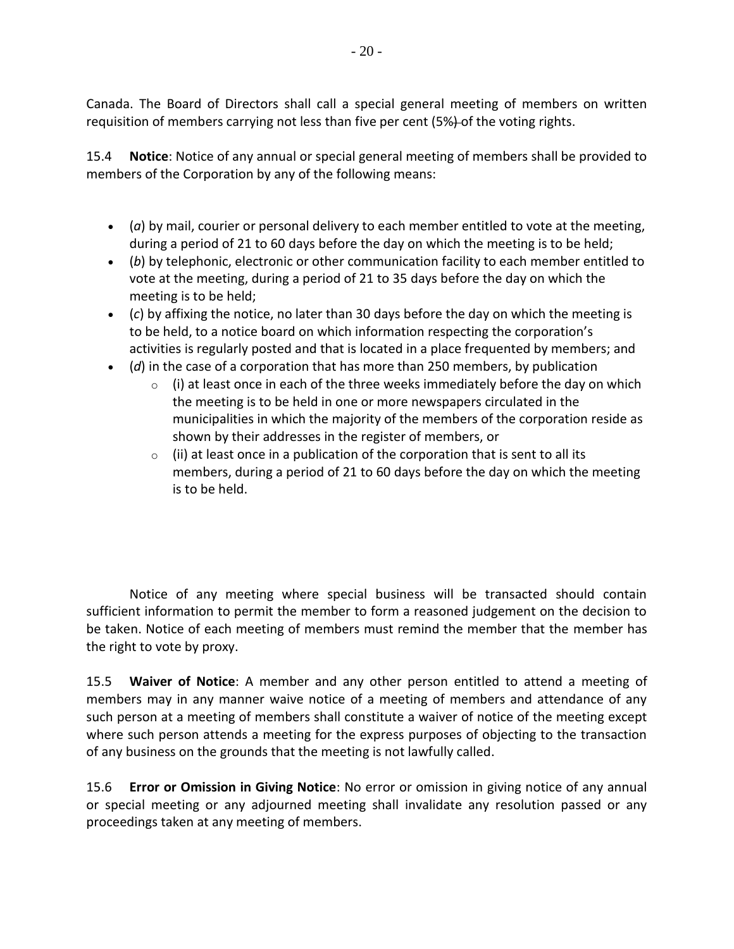Canada. The Board of Directors shall call a special general meeting of members on written requisition of members carrying not less than five per cent (5%) of the voting rights.

15.4 **Notice**: Notice of any annual or special general meeting of members shall be provided to members of the Corporation by any of the following means:

- (*a*) by mail, courier or personal delivery to each member entitled to vote at the meeting, during a period of 21 to 60 days before the day on which the meeting is to be held;
- (*b*) by telephonic, electronic or other communication facility to each member entitled to vote at the meeting, during a period of 21 to 35 days before the day on which the meeting is to be held;
- (*c*) by affixing the notice, no later than 30 days before the day on which the meeting is to be held, to a notice board on which information respecting the corporation's activities is regularly posted and that is located in a place frequented by members; and
- (*d*) in the case of a corporation that has more than 250 members, by publication
	- $\circ$  (i) at least once in each of the three weeks immediately before the day on which the meeting is to be held in one or more newspapers circulated in the municipalities in which the majority of the members of the corporation reside as shown by their addresses in the register of members, or
	- $\circ$  (ii) at least once in a publication of the corporation that is sent to all its members, during a period of 21 to 60 days before the day on which the meeting is to be held.

Notice of any meeting where special business will be transacted should contain sufficient information to permit the member to form a reasoned judgement on the decision to be taken. Notice of each meeting of members must remind the member that the member has the right to vote by proxy.

15.5 **Waiver of Notice**: A member and any other person entitled to attend a meeting of members may in any manner waive notice of a meeting of members and attendance of any such person at a meeting of members shall constitute a waiver of notice of the meeting except where such person attends a meeting for the express purposes of objecting to the transaction of any business on the grounds that the meeting is not lawfully called.

15.6 **Error or Omission in Giving Notice**: No error or omission in giving notice of any annual or special meeting or any adjourned meeting shall invalidate any resolution passed or any proceedings taken at any meeting of members.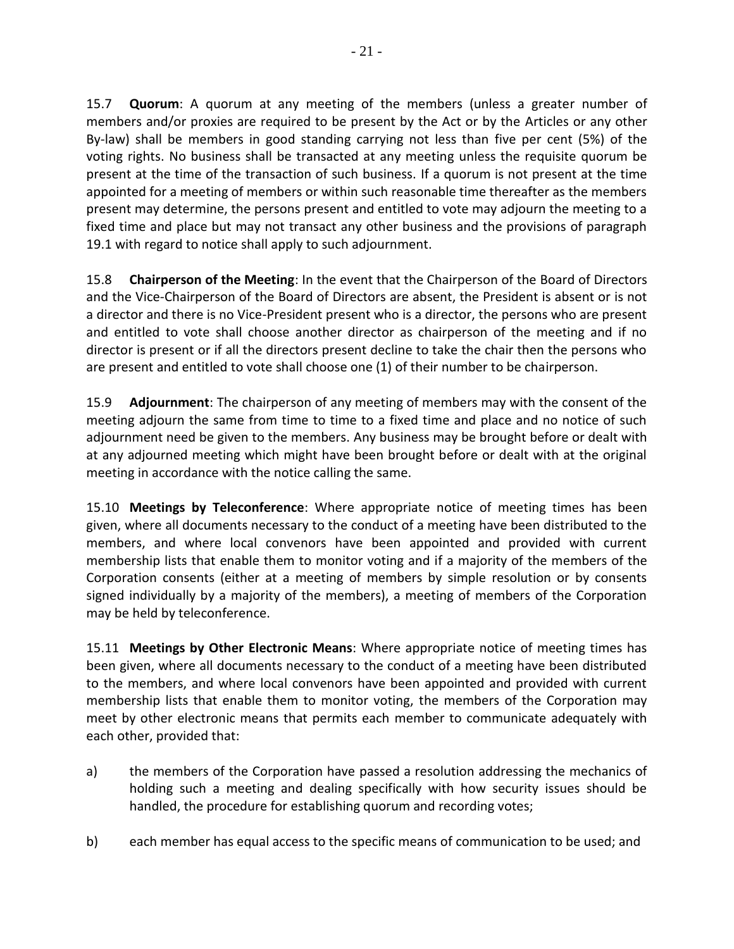15.7 **Quorum**: A quorum at any meeting of the members (unless a greater number of members and/or proxies are required to be present by the Act or by the Articles or any other By-law) shall be members in good standing carrying not less than five per cent (5%) of the voting rights. No business shall be transacted at any meeting unless the requisite quorum be present at the time of the transaction of such business. If a quorum is not present at the time appointed for a meeting of members or within such reasonable time thereafter as the members present may determine, the persons present and entitled to vote may adjourn the meeting to a fixed time and place but may not transact any other business and the provisions of paragraph 19.1 with regard to notice shall apply to such adjournment.

15.8 **Chairperson of the Meeting**: In the event that the Chairperson of the Board of Directors and the Vice-Chairperson of the Board of Directors are absent, the President is absent or is not a director and there is no Vice-President present who is a director, the persons who are present and entitled to vote shall choose another director as chairperson of the meeting and if no director is present or if all the directors present decline to take the chair then the persons who are present and entitled to vote shall choose one (1) of their number to be chairperson.

15.9 **Adjournment**: The chairperson of any meeting of members may with the consent of the meeting adjourn the same from time to time to a fixed time and place and no notice of such adjournment need be given to the members. Any business may be brought before or dealt with at any adjourned meeting which might have been brought before or dealt with at the original meeting in accordance with the notice calling the same.

15.10 **Meetings by Teleconference**: Where appropriate notice of meeting times has been given, where all documents necessary to the conduct of a meeting have been distributed to the members, and where local convenors have been appointed and provided with current membership lists that enable them to monitor voting and if a majority of the members of the Corporation consents (either at a meeting of members by simple resolution or by consents signed individually by a majority of the members), a meeting of members of the Corporation may be held by teleconference.

15.11 **Meetings by Other Electronic Means**: Where appropriate notice of meeting times has been given, where all documents necessary to the conduct of a meeting have been distributed to the members, and where local convenors have been appointed and provided with current membership lists that enable them to monitor voting, the members of the Corporation may meet by other electronic means that permits each member to communicate adequately with each other, provided that:

- a) the members of the Corporation have passed a resolution addressing the mechanics of holding such a meeting and dealing specifically with how security issues should be handled, the procedure for establishing quorum and recording votes;
- b) each member has equal access to the specific means of communication to be used; and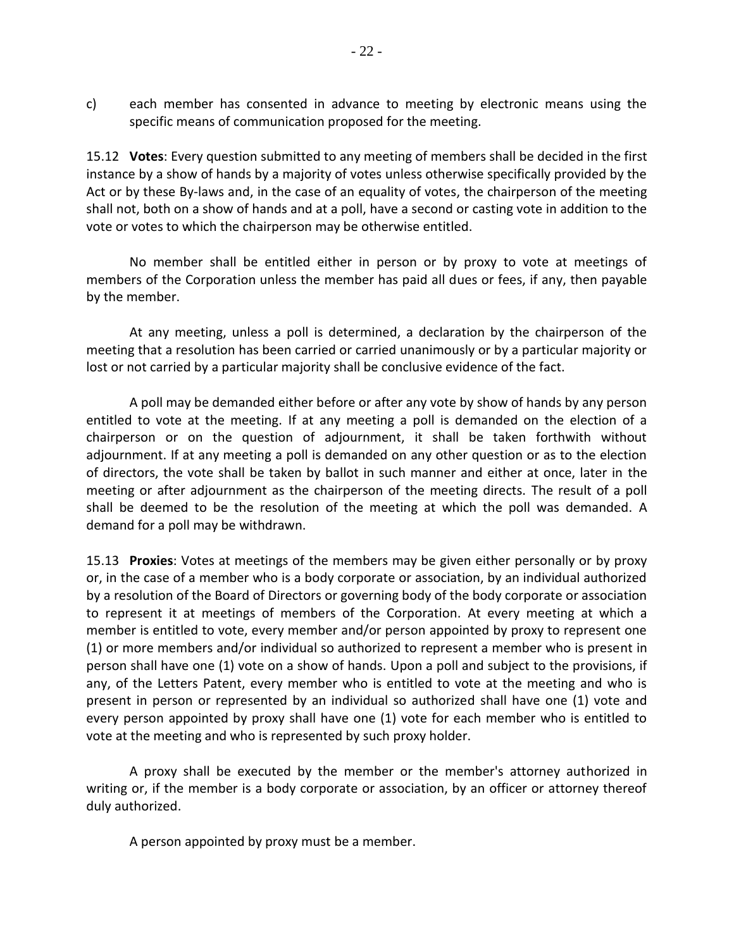c) each member has consented in advance to meeting by electronic means using the specific means of communication proposed for the meeting.

15.12 **Votes**: Every question submitted to any meeting of members shall be decided in the first instance by a show of hands by a majority of votes unless otherwise specifically provided by the Act or by these By-laws and, in the case of an equality of votes, the chairperson of the meeting shall not, both on a show of hands and at a poll, have a second or casting vote in addition to the vote or votes to which the chairperson may be otherwise entitled.

No member shall be entitled either in person or by proxy to vote at meetings of members of the Corporation unless the member has paid all dues or fees, if any, then payable by the member.

At any meeting, unless a poll is determined, a declaration by the chairperson of the meeting that a resolution has been carried or carried unanimously or by a particular majority or lost or not carried by a particular majority shall be conclusive evidence of the fact.

A poll may be demanded either before or after any vote by show of hands by any person entitled to vote at the meeting. If at any meeting a poll is demanded on the election of a chairperson or on the question of adjournment, it shall be taken forthwith without adjournment. If at any meeting a poll is demanded on any other question or as to the election of directors, the vote shall be taken by ballot in such manner and either at once, later in the meeting or after adjournment as the chairperson of the meeting directs. The result of a poll shall be deemed to be the resolution of the meeting at which the poll was demanded. A demand for a poll may be withdrawn.

15.13 **Proxies**: Votes at meetings of the members may be given either personally or by proxy or, in the case of a member who is a body corporate or association, by an individual authorized by a resolution of the Board of Directors or governing body of the body corporate or association to represent it at meetings of members of the Corporation. At every meeting at which a member is entitled to vote, every member and/or person appointed by proxy to represent one (1) or more members and/or individual so authorized to represent a member who is present in person shall have one (1) vote on a show of hands. Upon a poll and subject to the provisions, if any, of the Letters Patent, every member who is entitled to vote at the meeting and who is present in person or represented by an individual so authorized shall have one (1) vote and every person appointed by proxy shall have one (1) vote for each member who is entitled to vote at the meeting and who is represented by such proxy holder.

A proxy shall be executed by the member or the member's attorney authorized in writing or, if the member is a body corporate or association, by an officer or attorney thereof duly authorized.

A person appointed by proxy must be a member.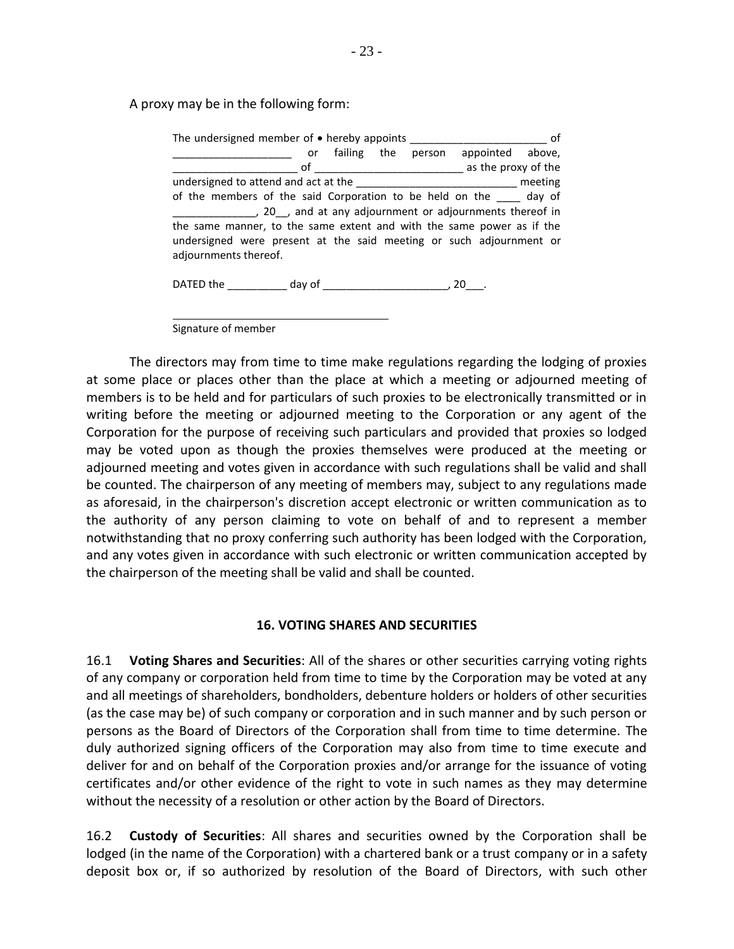A proxy may be in the following form:

The undersigned member of  $\bullet$  hereby appoints \_\_\_\_\_\_\_\_\_\_\_\_\_\_\_\_\_\_\_\_\_\_\_\_\_\_\_\_\_ of or failing the person appointed above, \_\_\_\_\_\_\_\_\_\_\_\_\_\_\_\_\_\_\_\_\_ of \_\_\_\_\_\_\_\_\_\_\_\_\_\_\_\_\_\_\_\_\_\_\_\_\_ as the proxy of the undersigned to attend and act at the \_\_\_\_\_\_\_\_\_\_\_\_\_\_\_\_\_\_\_\_\_\_\_\_\_\_\_ meeting of the members of the said Corporation to be held on the \_\_\_\_ day of \_\_\_\_\_\_\_\_\_\_\_\_\_\_, 20\_\_, and at any adjournment or adjournments thereof in the same manner, to the same extent and with the same power as if the undersigned were present at the said meeting or such adjournment or adjournments thereof.

DATED the \_\_\_\_\_\_\_\_\_\_ day of \_\_\_\_\_\_\_\_\_\_\_\_\_\_\_\_\_\_\_\_\_, 20\_\_\_.

Signature of member

The directors may from time to time make regulations regarding the lodging of proxies at some place or places other than the place at which a meeting or adjourned meeting of members is to be held and for particulars of such proxies to be electronically transmitted or in writing before the meeting or adjourned meeting to the Corporation or any agent of the Corporation for the purpose of receiving such particulars and provided that proxies so lodged may be voted upon as though the proxies themselves were produced at the meeting or adjourned meeting and votes given in accordance with such regulations shall be valid and shall be counted. The chairperson of any meeting of members may, subject to any regulations made as aforesaid, in the chairperson's discretion accept electronic or written communication as to the authority of any person claiming to vote on behalf of and to represent a member notwithstanding that no proxy conferring such authority has been lodged with the Corporation, and any votes given in accordance with such electronic or written communication accepted by the chairperson of the meeting shall be valid and shall be counted.

#### **16. VOTING SHARES AND SECURITIES**

16.1 **Voting Shares and Securities**: All of the shares or other securities carrying voting rights of any company or corporation held from time to time by the Corporation may be voted at any and all meetings of shareholders, bondholders, debenture holders or holders of other securities (as the case may be) of such company or corporation and in such manner and by such person or persons as the Board of Directors of the Corporation shall from time to time determine. The duly authorized signing officers of the Corporation may also from time to time execute and deliver for and on behalf of the Corporation proxies and/or arrange for the issuance of voting certificates and/or other evidence of the right to vote in such names as they may determine without the necessity of a resolution or other action by the Board of Directors.

16.2 **Custody of Securities**: All shares and securities owned by the Corporation shall be lodged (in the name of the Corporation) with a chartered bank or a trust company or in a safety deposit box or, if so authorized by resolution of the Board of Directors, with such other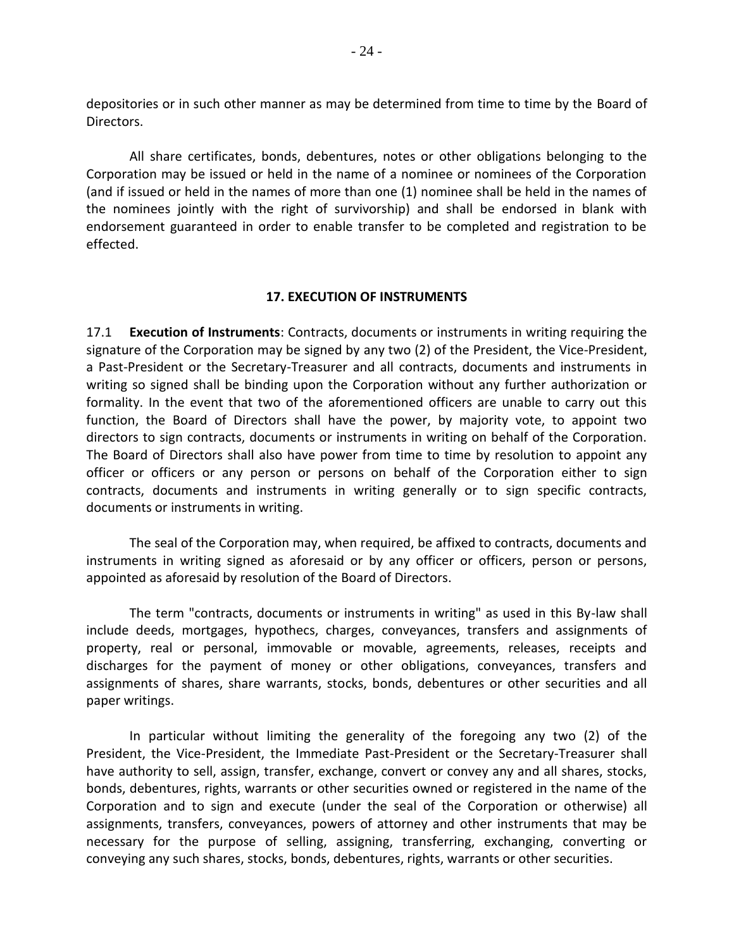depositories or in such other manner as may be determined from time to time by the Board of Directors.

All share certificates, bonds, debentures, notes or other obligations belonging to the Corporation may be issued or held in the name of a nominee or nominees of the Corporation (and if issued or held in the names of more than one (1) nominee shall be held in the names of the nominees jointly with the right of survivorship) and shall be endorsed in blank with endorsement guaranteed in order to enable transfer to be completed and registration to be effected.

#### **17. EXECUTION OF INSTRUMENTS**

17.1 **Execution of Instruments**: Contracts, documents or instruments in writing requiring the signature of the Corporation may be signed by any two (2) of the President, the Vice-President, a Past-President or the Secretary-Treasurer and all contracts, documents and instruments in writing so signed shall be binding upon the Corporation without any further authorization or formality. In the event that two of the aforementioned officers are unable to carry out this function, the Board of Directors shall have the power, by majority vote, to appoint two directors to sign contracts, documents or instruments in writing on behalf of the Corporation. The Board of Directors shall also have power from time to time by resolution to appoint any officer or officers or any person or persons on behalf of the Corporation either to sign contracts, documents and instruments in writing generally or to sign specific contracts, documents or instruments in writing.

The seal of the Corporation may, when required, be affixed to contracts, documents and instruments in writing signed as aforesaid or by any officer or officers, person or persons, appointed as aforesaid by resolution of the Board of Directors.

The term "contracts, documents or instruments in writing" as used in this By-law shall include deeds, mortgages, hypothecs, charges, conveyances, transfers and assignments of property, real or personal, immovable or movable, agreements, releases, receipts and discharges for the payment of money or other obligations, conveyances, transfers and assignments of shares, share warrants, stocks, bonds, debentures or other securities and all paper writings.

In particular without limiting the generality of the foregoing any two (2) of the President, the Vice-President, the Immediate Past-President or the Secretary-Treasurer shall have authority to sell, assign, transfer, exchange, convert or convey any and all shares, stocks, bonds, debentures, rights, warrants or other securities owned or registered in the name of the Corporation and to sign and execute (under the seal of the Corporation or otherwise) all assignments, transfers, conveyances, powers of attorney and other instruments that may be necessary for the purpose of selling, assigning, transferring, exchanging, converting or conveying any such shares, stocks, bonds, debentures, rights, warrants or other securities.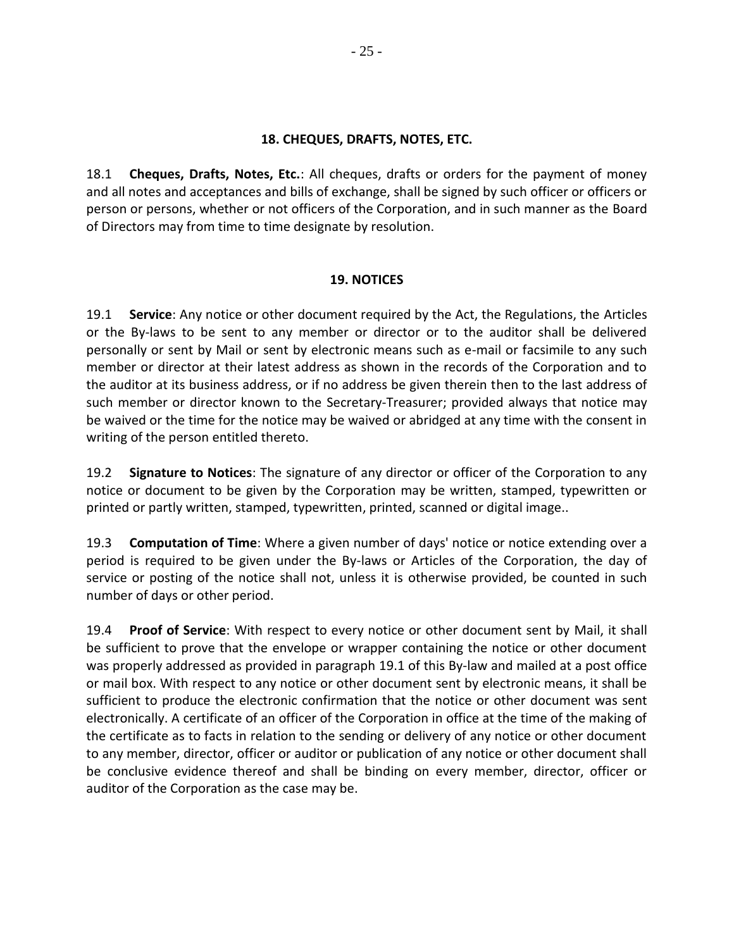#### **18. CHEQUES, DRAFTS, NOTES, ETC.**

18.1 **Cheques, Drafts, Notes, Etc.**: All cheques, drafts or orders for the payment of money and all notes and acceptances and bills of exchange, shall be signed by such officer or officers or person or persons, whether or not officers of the Corporation, and in such manner as the Board of Directors may from time to time designate by resolution.

#### **19. NOTICES**

19.1 **Service**: Any notice or other document required by the Act, the Regulations, the Articles or the By-laws to be sent to any member or director or to the auditor shall be delivered personally or sent by Mail or sent by electronic means such as e-mail or facsimile to any such member or director at their latest address as shown in the records of the Corporation and to the auditor at its business address, or if no address be given therein then to the last address of such member or director known to the Secretary-Treasurer; provided always that notice may be waived or the time for the notice may be waived or abridged at any time with the consent in writing of the person entitled thereto.

19.2 **Signature to Notices**: The signature of any director or officer of the Corporation to any notice or document to be given by the Corporation may be written, stamped, typewritten or printed or partly written, stamped, typewritten, printed, scanned or digital image..

19.3 **Computation of Time**: Where a given number of days' notice or notice extending over a period is required to be given under the By-laws or Articles of the Corporation, the day of service or posting of the notice shall not, unless it is otherwise provided, be counted in such number of days or other period.

19.4 **Proof of Service**: With respect to every notice or other document sent by Mail, it shall be sufficient to prove that the envelope or wrapper containing the notice or other document was properly addressed as provided in paragraph 19.1 of this By-law and mailed at a post office or mail box. With respect to any notice or other document sent by electronic means, it shall be sufficient to produce the electronic confirmation that the notice or other document was sent electronically. A certificate of an officer of the Corporation in office at the time of the making of the certificate as to facts in relation to the sending or delivery of any notice or other document to any member, director, officer or auditor or publication of any notice or other document shall be conclusive evidence thereof and shall be binding on every member, director, officer or auditor of the Corporation as the case may be.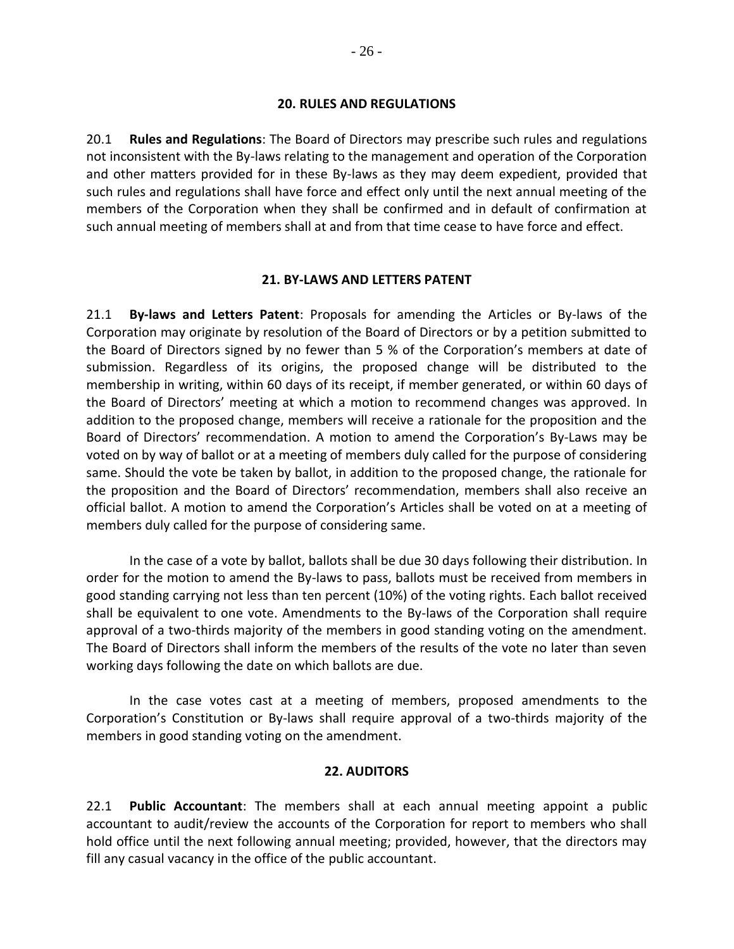#### **20. RULES AND REGULATIONS**

20.1 **Rules and Regulations**: The Board of Directors may prescribe such rules and regulations not inconsistent with the By-laws relating to the management and operation of the Corporation and other matters provided for in these By-laws as they may deem expedient, provided that such rules and regulations shall have force and effect only until the next annual meeting of the members of the Corporation when they shall be confirmed and in default of confirmation at such annual meeting of members shall at and from that time cease to have force and effect.

#### **21. BY-LAWS AND LETTERS PATENT**

21.1 **By-laws and Letters Patent**: Proposals for amending the Articles or By-laws of the Corporation may originate by resolution of the Board of Directors or by a petition submitted to the Board of Directors signed by no fewer than 5 % of the Corporation's members at date of submission. Regardless of its origins, the proposed change will be distributed to the membership in writing, within 60 days of its receipt, if member generated, or within 60 days of the Board of Directors' meeting at which a motion to recommend changes was approved. In addition to the proposed change, members will receive a rationale for the proposition and the Board of Directors' recommendation. A motion to amend the Corporation's By-Laws may be voted on by way of ballot or at a meeting of members duly called for the purpose of considering same. Should the vote be taken by ballot, in addition to the proposed change, the rationale for the proposition and the Board of Directors' recommendation, members shall also receive an official ballot. A motion to amend the Corporation's Articles shall be voted on at a meeting of members duly called for the purpose of considering same.

In the case of a vote by ballot, ballots shall be due 30 days following their distribution. In order for the motion to amend the By-laws to pass, ballots must be received from members in good standing carrying not less than ten percent (10%) of the voting rights. Each ballot received shall be equivalent to one vote. Amendments to the By-laws of the Corporation shall require approval of a two-thirds majority of the members in good standing voting on the amendment. The Board of Directors shall inform the members of the results of the vote no later than seven working days following the date on which ballots are due.

In the case votes cast at a meeting of members, proposed amendments to the Corporation's Constitution or By-laws shall require approval of a two-thirds majority of the members in good standing voting on the amendment.

### **22. AUDITORS**

22.1 **Public Accountant**: The members shall at each annual meeting appoint a public accountant to audit/review the accounts of the Corporation for report to members who shall hold office until the next following annual meeting; provided, however, that the directors may fill any casual vacancy in the office of the public accountant.